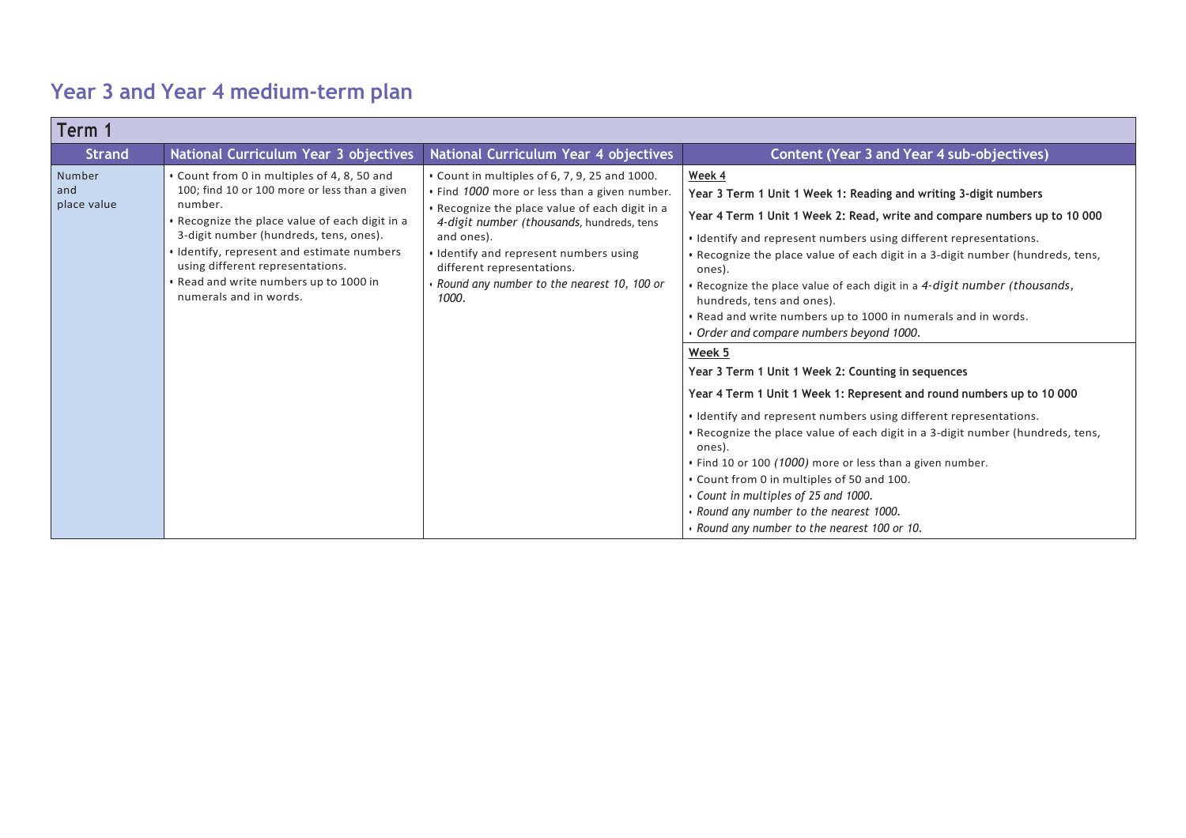## **Year 3 and Year 4 medium-term plan**

| Term 1                       |                                                                                                                                                                                                                                                                                                                                                           |                                                                                                                                                                                                                                                                                                                                            |                                                                                                                                                                                                                                                                                                                                                                                                                                                                                                                                                                                                                                                                                                                                                                                                                                                                                                                                                                                                                                                                                                       |
|------------------------------|-----------------------------------------------------------------------------------------------------------------------------------------------------------------------------------------------------------------------------------------------------------------------------------------------------------------------------------------------------------|--------------------------------------------------------------------------------------------------------------------------------------------------------------------------------------------------------------------------------------------------------------------------------------------------------------------------------------------|-------------------------------------------------------------------------------------------------------------------------------------------------------------------------------------------------------------------------------------------------------------------------------------------------------------------------------------------------------------------------------------------------------------------------------------------------------------------------------------------------------------------------------------------------------------------------------------------------------------------------------------------------------------------------------------------------------------------------------------------------------------------------------------------------------------------------------------------------------------------------------------------------------------------------------------------------------------------------------------------------------------------------------------------------------------------------------------------------------|
| <b>Strand</b>                | National Curriculum Year 3 objectives                                                                                                                                                                                                                                                                                                                     | National Curriculum Year 4 objectives                                                                                                                                                                                                                                                                                                      | Content (Year 3 and Year 4 sub-objectives)                                                                                                                                                                                                                                                                                                                                                                                                                                                                                                                                                                                                                                                                                                                                                                                                                                                                                                                                                                                                                                                            |
| Number<br>and<br>place value | • Count from 0 in multiples of 4, 8, 50 and<br>100; find 10 or 100 more or less than a given<br>number.<br>. Recognize the place value of each digit in a<br>3-digit number (hundreds, tens, ones).<br>• Identify, represent and estimate numbers<br>using different representations.<br>. Read and write numbers up to 1000 in<br>numerals and in words. | • Count in multiples of 6, 7, 9, 25 and 1000.<br>. Find 1000 more or less than a given number.<br>. Recognize the place value of each digit in a<br>4-digit number (thousands, hundreds, tens<br>and ones).<br>. Identify and represent numbers using<br>different representations.<br>Round any number to the nearest 10, 100 or<br>1000. | Week 4<br>Year 3 Term 1 Unit 1 Week 1: Reading and writing 3-digit numbers<br>Year 4 Term 1 Unit 1 Week 2: Read, write and compare numbers up to 10 000<br>• Identify and represent numbers using different representations.<br>. Recognize the place value of each digit in a 3-digit number (hundreds, tens,<br>ones).<br>. Recognize the place value of each digit in a 4-digit number (thousands,<br>hundreds, tens and ones).<br>. Read and write numbers up to 1000 in numerals and in words.<br>Order and compare numbers beyond 1000.<br>Week 5<br>Year 3 Term 1 Unit 1 Week 2: Counting in sequences<br>Year 4 Term 1 Unit 1 Week 1: Represent and round numbers up to 10 000<br>• Identify and represent numbers using different representations.<br>. Recognize the place value of each digit in a 3-digit number (hundreds, tens,<br>ones).<br>. Find 10 or 100 (1000) more or less than a given number.<br>. Count from 0 in multiples of 50 and 100.<br>• Count in multiples of 25 and 1000.<br>. Round any number to the nearest 1000.<br>. Round any number to the nearest 100 or 10. |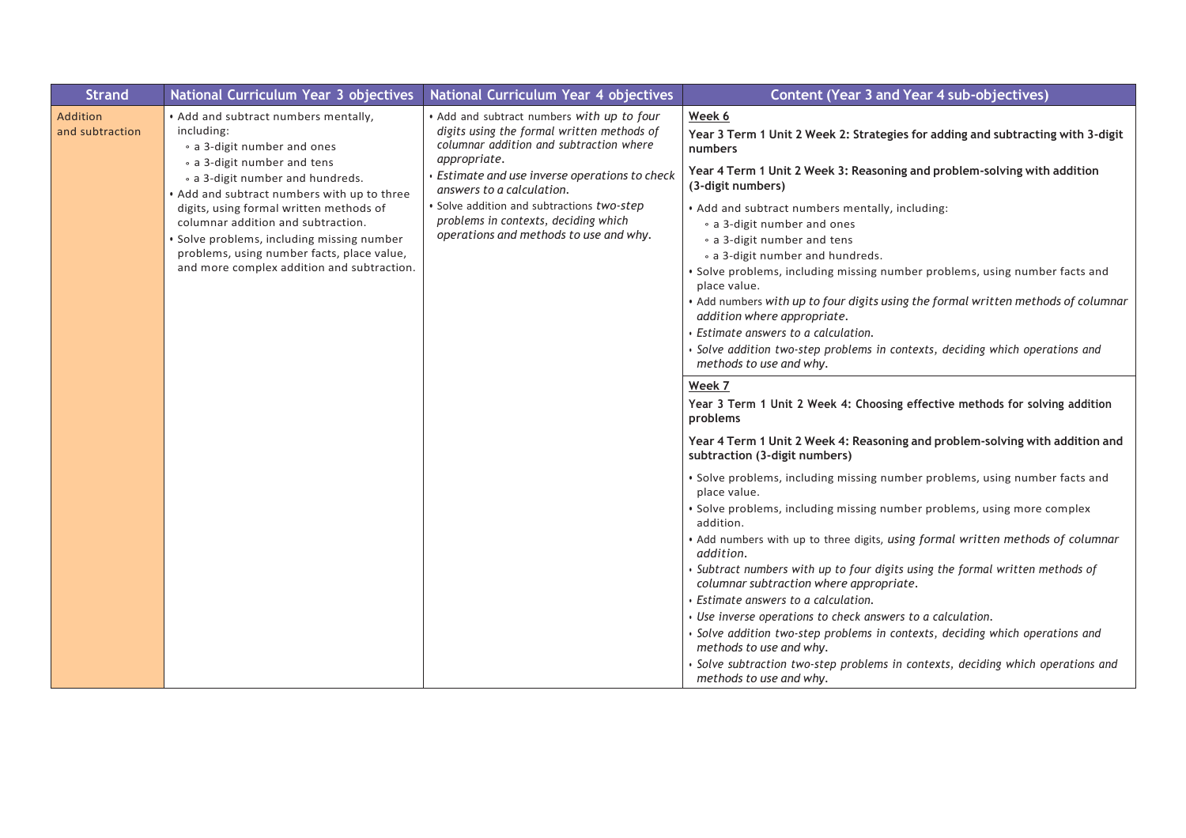| <b>Strand</b>                      | National Curriculum Year 3 objectives                                                                                                                                                                                                                                                                      | National Curriculum Year 4 objectives                                                                                                                                                               | <b>Content (Year 3 and Year 4 sub-objectives)</b>                                                                                                                                                                                                                                                                                                                                                                                                                                                                |
|------------------------------------|------------------------------------------------------------------------------------------------------------------------------------------------------------------------------------------------------------------------------------------------------------------------------------------------------------|-----------------------------------------------------------------------------------------------------------------------------------------------------------------------------------------------------|------------------------------------------------------------------------------------------------------------------------------------------------------------------------------------------------------------------------------------------------------------------------------------------------------------------------------------------------------------------------------------------------------------------------------------------------------------------------------------------------------------------|
| <b>Addition</b><br>and subtraction | . Add and subtract numbers mentally,<br>including:<br>• a 3-digit number and ones<br>• a 3-digit number and tens                                                                                                                                                                                           | . Add and subtract numbers with up to four<br>digits using the formal written methods of<br>columnar addition and subtraction where<br>appropriate.<br>Estimate and use inverse operations to check | Week 6<br>Year 3 Term 1 Unit 2 Week 2: Strategies for adding and subtracting with 3-digit<br>numbers<br>Year 4 Term 1 Unit 2 Week 3: Reasoning and problem-solving with addition                                                                                                                                                                                                                                                                                                                                 |
|                                    | • a 3-digit number and hundreds.<br>• Add and subtract numbers with up to three<br>digits, using formal written methods of<br>columnar addition and subtraction.<br>· Solve problems, including missing number<br>problems, using number facts, place value,<br>and more complex addition and subtraction. | answers to a calculation.<br>· Solve addition and subtractions two-step<br>problems in contexts, deciding which<br>operations and methods to use and why.                                           | (3-digit numbers)<br>. Add and subtract numbers mentally, including:<br>• a 3-digit number and ones<br>• a 3-digit number and tens<br>• a 3-digit number and hundreds.<br>· Solve problems, including missing number problems, using number facts and<br>place value.<br>. Add numbers with up to four digits using the formal written methods of columnar<br>addition where appropriate.<br>Estimate answers to a calculation.<br>· Solve addition two-step problems in contexts, deciding which operations and |
|                                    |                                                                                                                                                                                                                                                                                                            |                                                                                                                                                                                                     | methods to use and why.<br>Week 7<br>Year 3 Term 1 Unit 2 Week 4: Choosing effective methods for solving addition                                                                                                                                                                                                                                                                                                                                                                                                |
|                                    |                                                                                                                                                                                                                                                                                                            |                                                                                                                                                                                                     | problems<br>Year 4 Term 1 Unit 2 Week 4: Reasoning and problem-solving with addition and<br>subtraction (3-digit numbers)                                                                                                                                                                                                                                                                                                                                                                                        |
|                                    |                                                                                                                                                                                                                                                                                                            |                                                                                                                                                                                                     | · Solve problems, including missing number problems, using number facts and<br>place value.                                                                                                                                                                                                                                                                                                                                                                                                                      |
|                                    |                                                                                                                                                                                                                                                                                                            |                                                                                                                                                                                                     | · Solve problems, including missing number problems, using more complex<br>addition.                                                                                                                                                                                                                                                                                                                                                                                                                             |
|                                    |                                                                                                                                                                                                                                                                                                            |                                                                                                                                                                                                     | . Add numbers with up to three digits, using formal written methods of columnar<br>addition.                                                                                                                                                                                                                                                                                                                                                                                                                     |
|                                    |                                                                                                                                                                                                                                                                                                            |                                                                                                                                                                                                     | Subtract numbers with up to four digits using the formal written methods of<br>columnar subtraction where appropriate.                                                                                                                                                                                                                                                                                                                                                                                           |
|                                    |                                                                                                                                                                                                                                                                                                            |                                                                                                                                                                                                     | Estimate answers to a calculation.                                                                                                                                                                                                                                                                                                                                                                                                                                                                               |
|                                    |                                                                                                                                                                                                                                                                                                            |                                                                                                                                                                                                     | • Use inverse operations to check answers to a calculation.                                                                                                                                                                                                                                                                                                                                                                                                                                                      |
|                                    |                                                                                                                                                                                                                                                                                                            |                                                                                                                                                                                                     | · Solve addition two-step problems in contexts, deciding which operations and<br>methods to use and why.                                                                                                                                                                                                                                                                                                                                                                                                         |
|                                    |                                                                                                                                                                                                                                                                                                            |                                                                                                                                                                                                     | · Solve subtraction two-step problems in contexts, deciding which operations and<br>methods to use and why.                                                                                                                                                                                                                                                                                                                                                                                                      |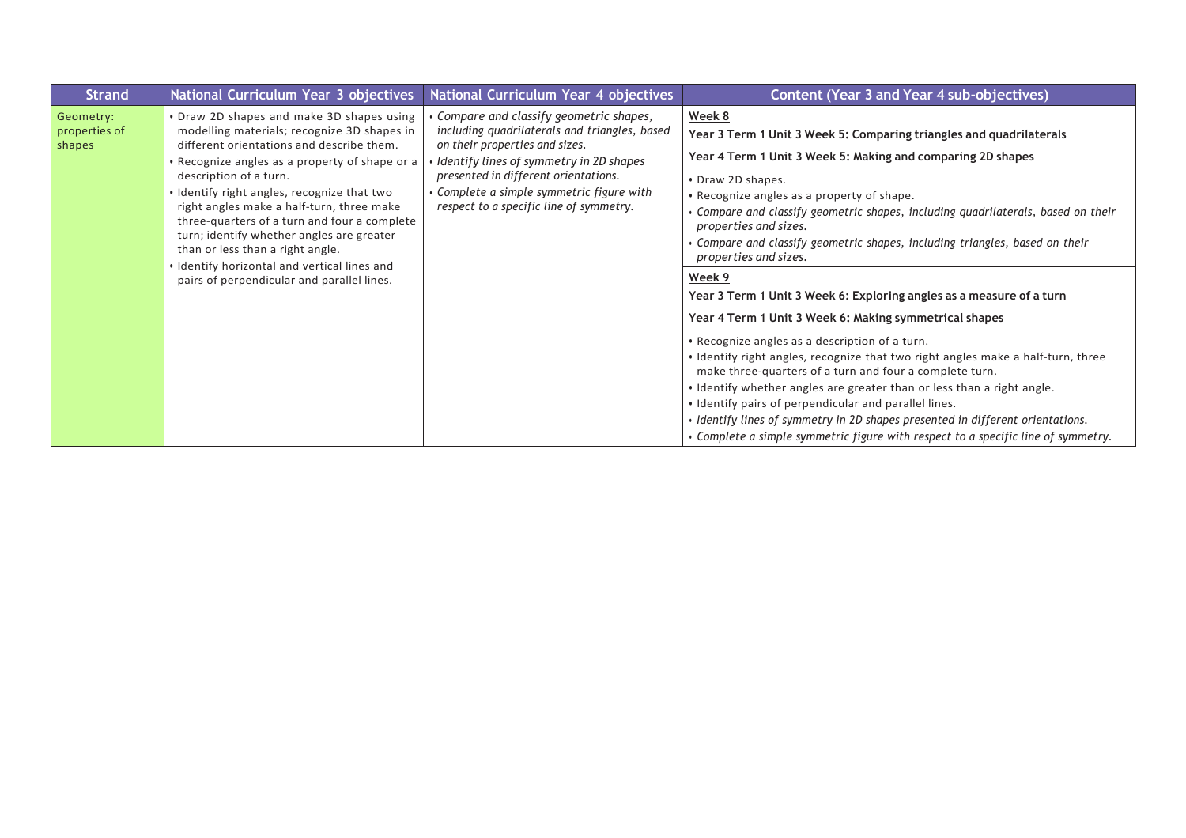| <b>Strand</b>                        | National Curriculum Year 3 objectives                                                                                                                                                                                                                                                                                                                                                                                                                                                                                                        | National Curriculum Year 4 objectives                                                                                                                                                                                                                                                              | <b>Content (Year 3 and Year 4 sub-objectives)</b>                                                                                                                                                                                                                                                                                                                                                                                                                                                                                                                                                                                                                                                                                                                                                                                                                                                                                                                                                                                                                                         |
|--------------------------------------|----------------------------------------------------------------------------------------------------------------------------------------------------------------------------------------------------------------------------------------------------------------------------------------------------------------------------------------------------------------------------------------------------------------------------------------------------------------------------------------------------------------------------------------------|----------------------------------------------------------------------------------------------------------------------------------------------------------------------------------------------------------------------------------------------------------------------------------------------------|-------------------------------------------------------------------------------------------------------------------------------------------------------------------------------------------------------------------------------------------------------------------------------------------------------------------------------------------------------------------------------------------------------------------------------------------------------------------------------------------------------------------------------------------------------------------------------------------------------------------------------------------------------------------------------------------------------------------------------------------------------------------------------------------------------------------------------------------------------------------------------------------------------------------------------------------------------------------------------------------------------------------------------------------------------------------------------------------|
| Geometry:<br>properties of<br>shapes | • Draw 2D shapes and make 3D shapes using<br>modelling materials; recognize 3D shapes in<br>different orientations and describe them.<br>• Recognize angles as a property of shape or a<br>description of a turn.<br>. Identify right angles, recognize that two<br>right angles make a half-turn, three make<br>three-quarters of a turn and four a complete<br>turn; identify whether angles are greater<br>than or less than a right angle.<br>. Identify horizontal and vertical lines and<br>pairs of perpendicular and parallel lines. | Compare and classify geometric shapes,<br>including quadrilaterals and triangles, based<br>on their properties and sizes.<br>Identify lines of symmetry in 2D shapes<br>presented in different orientations.<br>Complete a simple symmetric figure with<br>respect to a specific line of symmetry. | Week 8<br>Year 3 Term 1 Unit 3 Week 5: Comparing triangles and quadrilaterals<br>Year 4 Term 1 Unit 3 Week 5: Making and comparing 2D shapes<br>• Draw 2D shapes.<br>• Recognize angles as a property of shape.<br>Compare and classify geometric shapes, including quadrilaterals, based on their<br>properties and sizes.<br>Compare and classify geometric shapes, including triangles, based on their<br>properties and sizes.<br>Week 9<br>Year 3 Term 1 Unit 3 Week 6: Exploring angles as a measure of a turn<br>Year 4 Term 1 Unit 3 Week 6: Making symmetrical shapes<br>• Recognize angles as a description of a turn.<br>• Identify right angles, recognize that two right angles make a half-turn, three<br>make three-quarters of a turn and four a complete turn.<br>. Identify whether angles are greater than or less than a right angle.<br>. Identify pairs of perpendicular and parallel lines.<br>• Identify lines of symmetry in 2D shapes presented in different orientations.<br>• Complete a simple symmetric figure with respect to a specific line of symmetry. |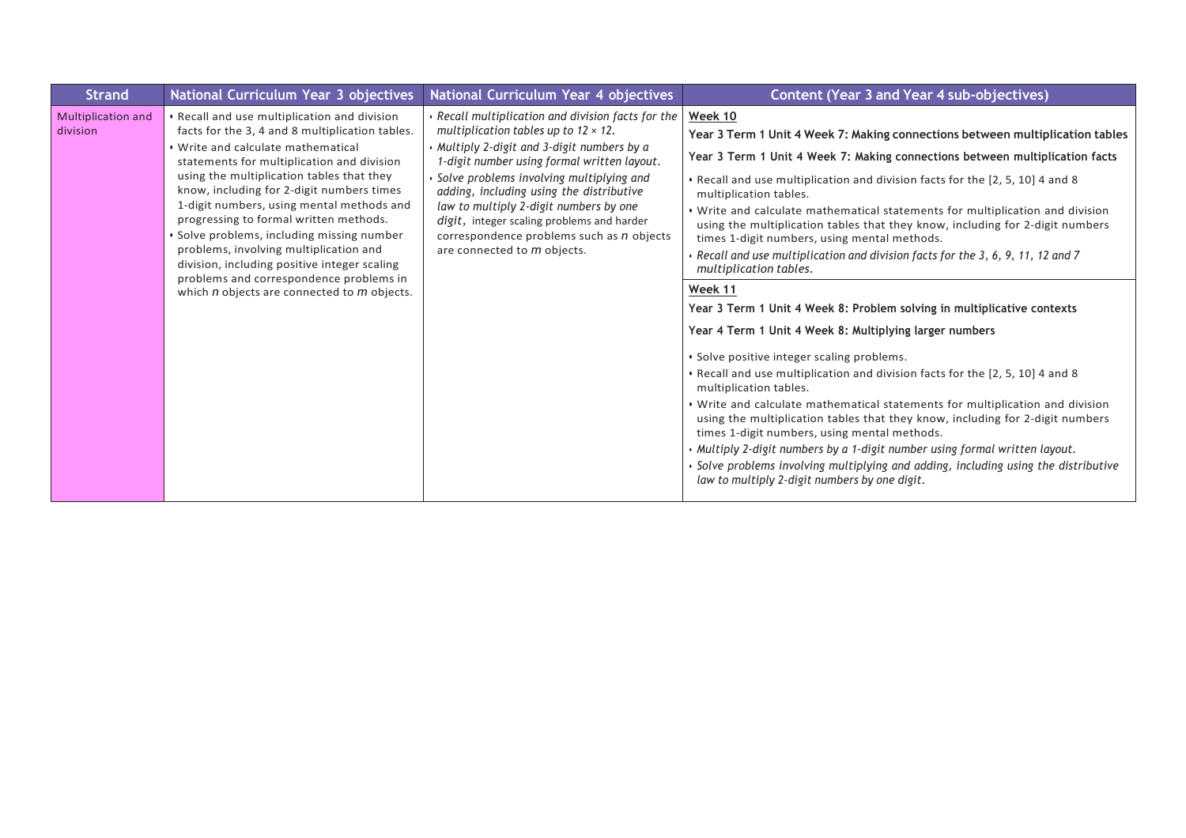| <b>Strand</b>                         | National Curriculum Year 3 objectives                                                                                                                                                                                                                                                                                                                                                                                                                                                                                                                                                                      | National Curriculum Year 4 objectives                                                                                                                                                                                                                                                                                                                                                                                                                                 | <b>Content (Year 3 and Year 4 sub-objectives)</b>                                                                                                                                                                                                                                                                                                                                                                                                                                                                                                                                                                                                                                                                                                                                                                                                                                                                                                                                                                                                                                                                                                                                                                                                                                                                                                                            |
|---------------------------------------|------------------------------------------------------------------------------------------------------------------------------------------------------------------------------------------------------------------------------------------------------------------------------------------------------------------------------------------------------------------------------------------------------------------------------------------------------------------------------------------------------------------------------------------------------------------------------------------------------------|-----------------------------------------------------------------------------------------------------------------------------------------------------------------------------------------------------------------------------------------------------------------------------------------------------------------------------------------------------------------------------------------------------------------------------------------------------------------------|------------------------------------------------------------------------------------------------------------------------------------------------------------------------------------------------------------------------------------------------------------------------------------------------------------------------------------------------------------------------------------------------------------------------------------------------------------------------------------------------------------------------------------------------------------------------------------------------------------------------------------------------------------------------------------------------------------------------------------------------------------------------------------------------------------------------------------------------------------------------------------------------------------------------------------------------------------------------------------------------------------------------------------------------------------------------------------------------------------------------------------------------------------------------------------------------------------------------------------------------------------------------------------------------------------------------------------------------------------------------------|
| <b>Multiplication and</b><br>division | • Recall and use multiplication and division<br>facts for the 3, 4 and 8 multiplication tables.<br>. Write and calculate mathematical<br>statements for multiplication and division<br>using the multiplication tables that they<br>know, including for 2-digit numbers times<br>1-digit numbers, using mental methods and<br>progressing to formal written methods.<br>• Solve problems, including missing number<br>problems, involving multiplication and<br>division, including positive integer scaling<br>problems and correspondence problems in<br>which $n$ objects are connected to $m$ objects. | • Recall multiplication and division facts for the<br>multiplication tables up to $12 \times 12$ .<br>• Multiply 2-digit and 3-digit numbers by a<br>1-digit number using formal written layout.<br>· Solve problems involving multiplying and<br>adding, including using the distributive<br>law to multiply 2-digit numbers by one<br>digit, integer scaling problems and harder<br>correspondence problems such as n objects<br>are connected to <i>m</i> objects. | Week 10<br>Year 3 Term 1 Unit 4 Week 7: Making connections between multiplication tables<br>Year 3 Term 1 Unit 4 Week 7: Making connections between multiplication facts<br>. Recall and use multiplication and division facts for the [2, 5, 10] 4 and 8<br>multiplication tables.<br>. Write and calculate mathematical statements for multiplication and division<br>using the multiplication tables that they know, including for 2-digit numbers<br>times 1-digit numbers, using mental methods.<br>$\cdot$ Recall and use multiplication and division facts for the 3, 6, 9, 11, 12 and 7<br>multiplication tables.<br>Week 11<br>Year 3 Term 1 Unit 4 Week 8: Problem solving in multiplicative contexts<br>Year 4 Term 1 Unit 4 Week 8: Multiplying larger numbers<br>• Solve positive integer scaling problems.<br>. Recall and use multiplication and division facts for the [2, 5, 10] 4 and 8<br>multiplication tables.<br>. Write and calculate mathematical statements for multiplication and division<br>using the multiplication tables that they know, including for 2-digit numbers<br>times 1-digit numbers, using mental methods.<br>. Multiply 2-digit numbers by a 1-digit number using formal written layout.<br>· Solve problems involving multiplying and adding, including using the distributive<br>law to multiply 2-digit numbers by one digit. |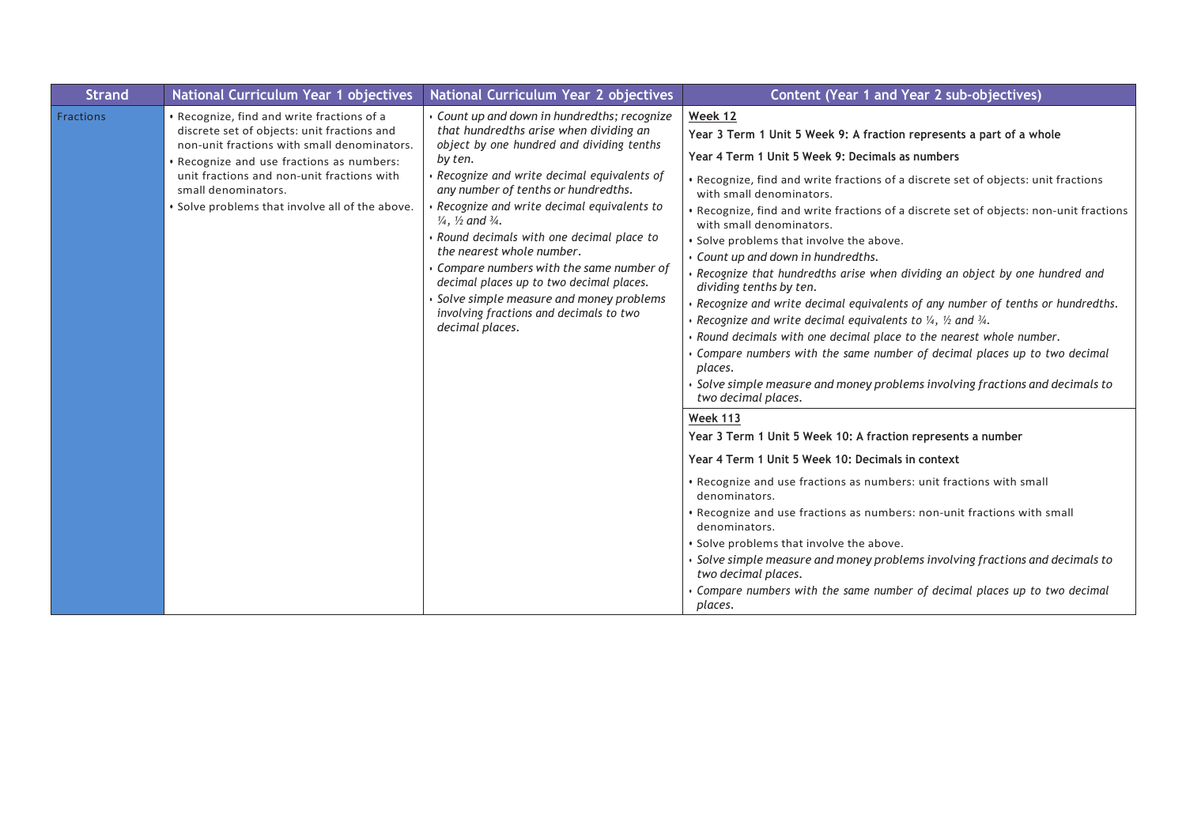| <b>Strand</b>    | National Curriculum Year 1 objectives                                                                                                                                                                                                                                                                         | National Curriculum Year 2 objectives                                                                                                                                                                                                                                                                                                                                                                                                                                                                                                                                                                         | Content (Year 1 and Year 2 sub-objectives)                                                                                                                                                                                                                                                                                                                                                                                                                                                                                                                                                                                                                                                                                                                                                                                                                                                                                                                                                                                                                                                                                                                                                                                                                                                                                                                                                                                                                                                                                                                                                                 |
|------------------|---------------------------------------------------------------------------------------------------------------------------------------------------------------------------------------------------------------------------------------------------------------------------------------------------------------|---------------------------------------------------------------------------------------------------------------------------------------------------------------------------------------------------------------------------------------------------------------------------------------------------------------------------------------------------------------------------------------------------------------------------------------------------------------------------------------------------------------------------------------------------------------------------------------------------------------|------------------------------------------------------------------------------------------------------------------------------------------------------------------------------------------------------------------------------------------------------------------------------------------------------------------------------------------------------------------------------------------------------------------------------------------------------------------------------------------------------------------------------------------------------------------------------------------------------------------------------------------------------------------------------------------------------------------------------------------------------------------------------------------------------------------------------------------------------------------------------------------------------------------------------------------------------------------------------------------------------------------------------------------------------------------------------------------------------------------------------------------------------------------------------------------------------------------------------------------------------------------------------------------------------------------------------------------------------------------------------------------------------------------------------------------------------------------------------------------------------------------------------------------------------------------------------------------------------------|
| <b>Fractions</b> | • Recognize, find and write fractions of a<br>discrete set of objects: unit fractions and<br>non-unit fractions with small denominators.<br>• Recognize and use fractions as numbers:<br>unit fractions and non-unit fractions with<br>small denominators.<br>• Solve problems that involve all of the above. | Gount up and down in hundredths; recognize<br>that hundredths arise when dividing an<br>object by one hundred and dividing tenths<br>by ten.<br>Recognize and write decimal equivalents of<br>any number of tenths or hundredths.<br>Recognize and write decimal equivalents to<br>$\frac{1}{4}$ , $\frac{1}{2}$ and $\frac{3}{4}$ .<br>Round decimals with one decimal place to<br>the nearest whole number.<br>Compare numbers with the same number of<br>decimal places up to two decimal places.<br>Solve simple measure and money problems<br>involving fractions and decimals to two<br>decimal places. | Week 12<br>Year 3 Term 1 Unit 5 Week 9: A fraction represents a part of a whole<br>Year 4 Term 1 Unit 5 Week 9: Decimals as numbers<br>. Recognize, find and write fractions of a discrete set of objects: unit fractions<br>with small denominators.<br>. Recognize, find and write fractions of a discrete set of objects: non-unit fractions<br>with small denominators.<br>. Solve problems that involve the above.<br>· Count up and down in hundredths.<br>• Recognize that hundredths arise when dividing an object by one hundred and<br>dividing tenths by ten.<br>Recognize and write decimal equivalents of any number of tenths or hundredths.<br>• Recognize and write decimal equivalents to $\frac{1}{4}$ , $\frac{1}{2}$ and $\frac{3}{4}$ .<br>· Round decimals with one decimal place to the nearest whole number.<br>Compare numbers with the same number of decimal places up to two decimal<br>places.<br>• Solve simple measure and money problems involving fractions and decimals to<br>two decimal places.<br><b>Week 113</b><br>Year 3 Term 1 Unit 5 Week 10: A fraction represents a number<br>Year 4 Term 1 Unit 5 Week 10: Decimals in context<br>• Recognize and use fractions as numbers: unit fractions with small<br>denominators.<br>• Recognize and use fractions as numbers: non-unit fractions with small<br>denominators.<br>. Solve problems that involve the above.<br>• Solve simple measure and money problems involving fractions and decimals to<br>two decimal places.<br>Compare numbers with the same number of decimal places up to two decimal<br>places. |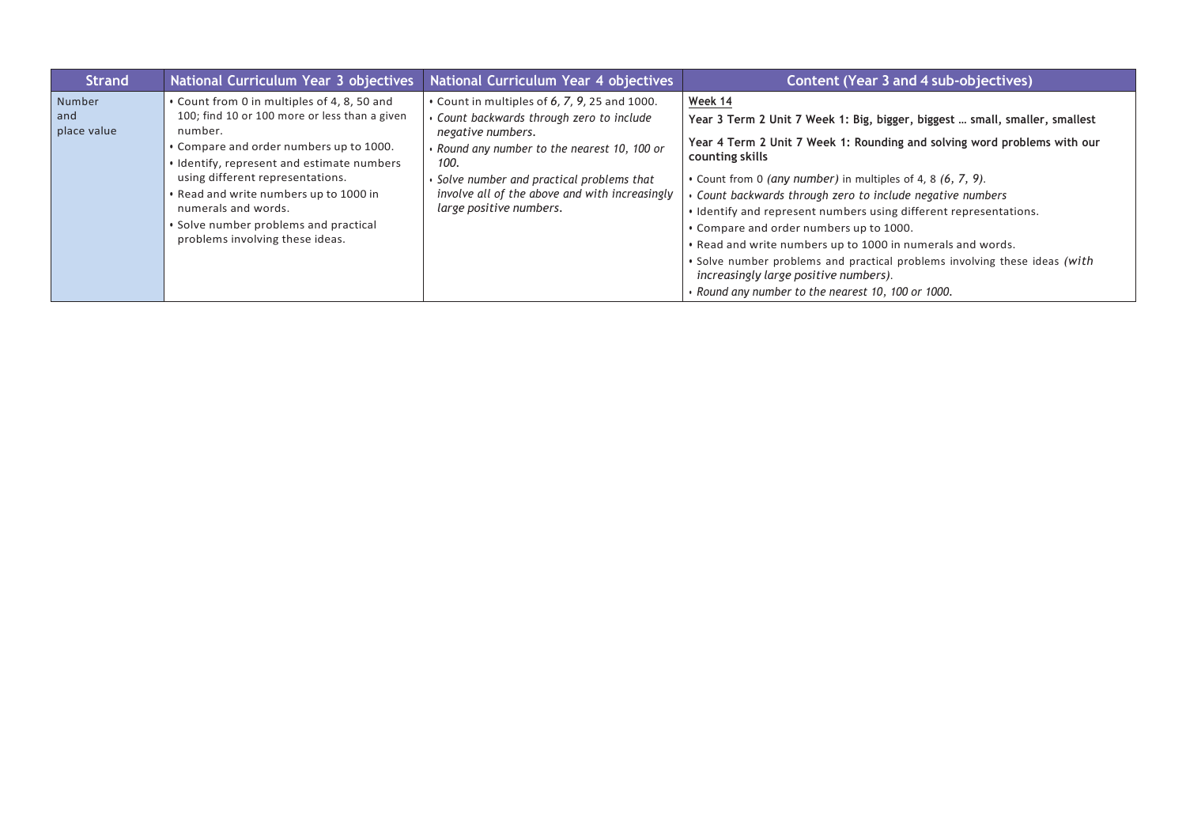| <b>Strand</b>                | National Curriculum Year 3 objectives                                                                                                                                                                                                                                                                                                                                             | National Curriculum Year 4 objectives                                                                                                                                                                                                                                                                  | <b>Content (Year 3 and 4 sub-objectives)</b>                                                                                                                                                                                                                                                                                                                                                                                                                                                                                                                                                                                                                                |
|------------------------------|-----------------------------------------------------------------------------------------------------------------------------------------------------------------------------------------------------------------------------------------------------------------------------------------------------------------------------------------------------------------------------------|--------------------------------------------------------------------------------------------------------------------------------------------------------------------------------------------------------------------------------------------------------------------------------------------------------|-----------------------------------------------------------------------------------------------------------------------------------------------------------------------------------------------------------------------------------------------------------------------------------------------------------------------------------------------------------------------------------------------------------------------------------------------------------------------------------------------------------------------------------------------------------------------------------------------------------------------------------------------------------------------------|
| Number<br>and<br>place value | • Count from 0 in multiples of 4, 8, 50 and<br>100; find 10 or 100 more or less than a given<br>number.<br>• Compare and order numbers up to 1000.<br>· Identify, represent and estimate numbers<br>using different representations.<br>. Read and write numbers up to 1000 in<br>numerals and words.<br>• Solve number problems and practical<br>problems involving these ideas. | $\cdot$ Count in multiples of 6, 7, 9, 25 and 1000.<br>Count backwards through zero to include<br>negative numbers.<br>• Round any number to the nearest 10, 100 or<br>100.<br>• Solve number and practical problems that<br>involve all of the above and with increasingly<br>large positive numbers. | Week 14<br>Year 3 Term 2 Unit 7 Week 1: Big, bigger, biggest  small, smaller, smallest<br>Year 4 Term 2 Unit 7 Week 1: Rounding and solving word problems with our<br>counting skills<br>• Count from 0 (any number) in multiples of 4, 8 (6, 7, 9).<br>Count backwards through zero to include negative numbers<br>. Identify and represent numbers using different representations.<br>• Compare and order numbers up to 1000.<br>. Read and write numbers up to 1000 in numerals and words.<br>. Solve number problems and practical problems involving these ideas (with<br>increasingly large positive numbers).<br>• Round any number to the nearest 10, 100 or 1000. |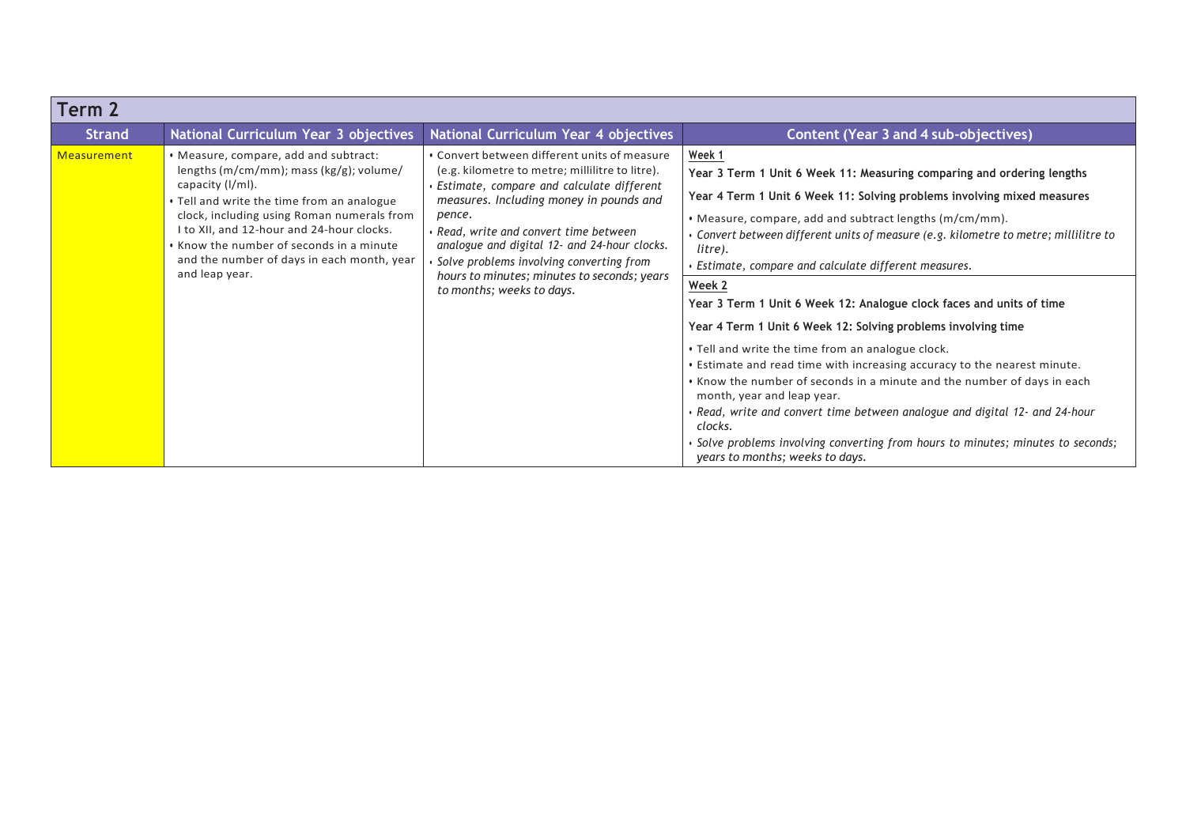| Term 2        |                                                                                                                                                                                                                                                                                                                                                           |                                                                                                                                                                                                                                                                                                                                                                                                                     |                                                                                                                                                                                                                                                                                                                                                                                                                                                                                                                                                                                                                                                                                                                                                                                                                                                                                                                                                                                                        |
|---------------|-----------------------------------------------------------------------------------------------------------------------------------------------------------------------------------------------------------------------------------------------------------------------------------------------------------------------------------------------------------|---------------------------------------------------------------------------------------------------------------------------------------------------------------------------------------------------------------------------------------------------------------------------------------------------------------------------------------------------------------------------------------------------------------------|--------------------------------------------------------------------------------------------------------------------------------------------------------------------------------------------------------------------------------------------------------------------------------------------------------------------------------------------------------------------------------------------------------------------------------------------------------------------------------------------------------------------------------------------------------------------------------------------------------------------------------------------------------------------------------------------------------------------------------------------------------------------------------------------------------------------------------------------------------------------------------------------------------------------------------------------------------------------------------------------------------|
| <b>Strand</b> | National Curriculum Year 3 objectives                                                                                                                                                                                                                                                                                                                     | National Curriculum Year 4 objectives                                                                                                                                                                                                                                                                                                                                                                               | <b>Content (Year 3 and 4 sub-objectives)</b>                                                                                                                                                                                                                                                                                                                                                                                                                                                                                                                                                                                                                                                                                                                                                                                                                                                                                                                                                           |
| Measurement   | • Measure, compare, add and subtract:<br>lengths (m/cm/mm); mass (kg/g); volume/<br>capacity (I/ml).<br>• Tell and write the time from an analogue<br>clock, including using Roman numerals from<br>I to XII, and 12-hour and 24-hour clocks.<br>• Know the number of seconds in a minute<br>and the number of days in each month, year<br>and leap year. | • Convert between different units of measure<br>(e.g. kilometre to metre; millilitre to litre).<br>Estimate, compare and calculate different<br>measures. Including money in pounds and<br>pence.<br>• Read, write and convert time between<br>analogue and digital 12- and 24-hour clocks.<br>Solve problems involving converting from<br>hours to minutes; minutes to seconds; years<br>to months; weeks to days. | Week 1<br>Year 3 Term 1 Unit 6 Week 11: Measuring comparing and ordering lengths<br>Year 4 Term 1 Unit 6 Week 11: Solving problems involving mixed measures<br>• Measure, compare, add and subtract lengths (m/cm/mm).<br>• Convert between different units of measure (e.g. kilometre to metre; millilitre to<br>litre).<br>$\cdot$ Estimate, compare and calculate different measures.<br>Week 2<br>Year 3 Term 1 Unit 6 Week 12: Analogue clock faces and units of time<br>Year 4 Term 1 Unit 6 Week 12: Solving problems involving time<br>• Tell and write the time from an analogue clock.<br>. Estimate and read time with increasing accuracy to the nearest minute.<br>• Know the number of seconds in a minute and the number of days in each<br>month, year and leap year.<br>• Read, write and convert time between analogue and digital 12- and 24-hour<br>clocks.<br>· Solve problems involving converting from hours to minutes; minutes to seconds;<br>years to months; weeks to days. |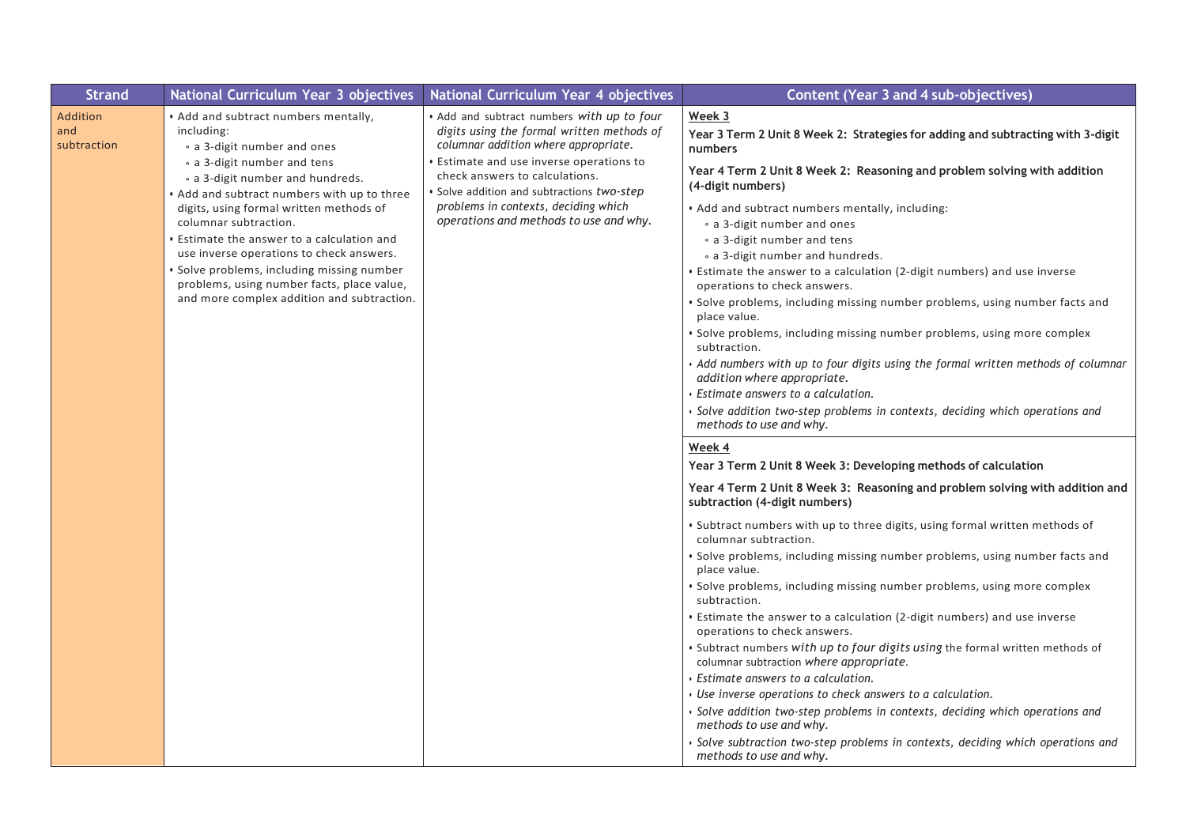| <b>Strand</b>                         | National Curriculum Year 3 objectives                                                                            | National Curriculum Year 4 objectives                                                                                                                                      | <b>Content (Year 3 and 4 sub-objectives)</b>                                                                             |
|---------------------------------------|------------------------------------------------------------------------------------------------------------------|----------------------------------------------------------------------------------------------------------------------------------------------------------------------------|--------------------------------------------------------------------------------------------------------------------------|
| <b>Addition</b><br>and<br>subtraction | . Add and subtract numbers mentally,<br>including:<br>• a 3-digit number and ones<br>• a 3-digit number and tens | . Add and subtract numbers with up to four<br>digits using the formal written methods of<br>columnar addition where appropriate.<br>Estimate and use inverse operations to | Week 3<br>Year 3 Term 2 Unit 8 Week 2: Strategies for adding and subtracting with 3-digit<br>numbers                     |
|                                       | • a 3-digit number and hundreds.<br>• Add and subtract numbers with up to three                                  | check answers to calculations.<br>Solve addition and subtractions two-step                                                                                                 | Year 4 Term 2 Unit 8 Week 2: Reasoning and problem solving with addition<br>(4-digit numbers)                            |
|                                       | digits, using formal written methods of<br>columnar subtraction.                                                 | problems in contexts, deciding which<br>operations and methods to use and why.                                                                                             | . Add and subtract numbers mentally, including:<br>• a 3-digit number and ones                                           |
|                                       | Estimate the answer to a calculation and<br>use inverse operations to check answers.                             |                                                                                                                                                                            | • a 3-digit number and tens<br>• a 3-digit number and hundreds.                                                          |
|                                       | · Solve problems, including missing number<br>problems, using number facts, place value,                         |                                                                                                                                                                            | • Estimate the answer to a calculation (2-digit numbers) and use inverse<br>operations to check answers.                 |
|                                       | and more complex addition and subtraction.                                                                       |                                                                                                                                                                            | · Solve problems, including missing number problems, using number facts and<br>place value.                              |
|                                       |                                                                                                                  |                                                                                                                                                                            | • Solve problems, including missing number problems, using more complex<br>subtraction.                                  |
|                                       |                                                                                                                  |                                                                                                                                                                            | • Add numbers with up to four digits using the formal written methods of columnar<br>addition where appropriate.         |
|                                       |                                                                                                                  |                                                                                                                                                                            | Estimate answers to a calculation.                                                                                       |
|                                       |                                                                                                                  |                                                                                                                                                                            | · Solve addition two-step problems in contexts, deciding which operations and<br>methods to use and why.                 |
|                                       |                                                                                                                  |                                                                                                                                                                            | Week 4                                                                                                                   |
|                                       |                                                                                                                  |                                                                                                                                                                            | Year 3 Term 2 Unit 8 Week 3: Developing methods of calculation                                                           |
|                                       |                                                                                                                  |                                                                                                                                                                            | Year 4 Term 2 Unit 8 Week 3: Reasoning and problem solving with addition and<br>subtraction (4-digit numbers)            |
|                                       |                                                                                                                  |                                                                                                                                                                            | • Subtract numbers with up to three digits, using formal written methods of<br>columnar subtraction.                     |
|                                       |                                                                                                                  |                                                                                                                                                                            | · Solve problems, including missing number problems, using number facts and<br>place value.                              |
|                                       |                                                                                                                  |                                                                                                                                                                            | • Solve problems, including missing number problems, using more complex<br>subtraction.                                  |
|                                       |                                                                                                                  |                                                                                                                                                                            | <b>Estimate the answer to a calculation (2-digit numbers) and use inverse</b><br>operations to check answers.            |
|                                       |                                                                                                                  |                                                                                                                                                                            | • Subtract numbers with up to four digits using the formal written methods of<br>columnar subtraction where appropriate. |
|                                       |                                                                                                                  |                                                                                                                                                                            | $\cdot$ Estimate answers to a calculation.                                                                               |
|                                       |                                                                                                                  |                                                                                                                                                                            | • Use inverse operations to check answers to a calculation.                                                              |
|                                       |                                                                                                                  |                                                                                                                                                                            | · Solve addition two-step problems in contexts, deciding which operations and<br>methods to use and why.                 |
|                                       |                                                                                                                  |                                                                                                                                                                            | · Solve subtraction two-step problems in contexts, deciding which operations and<br>methods to use and why.              |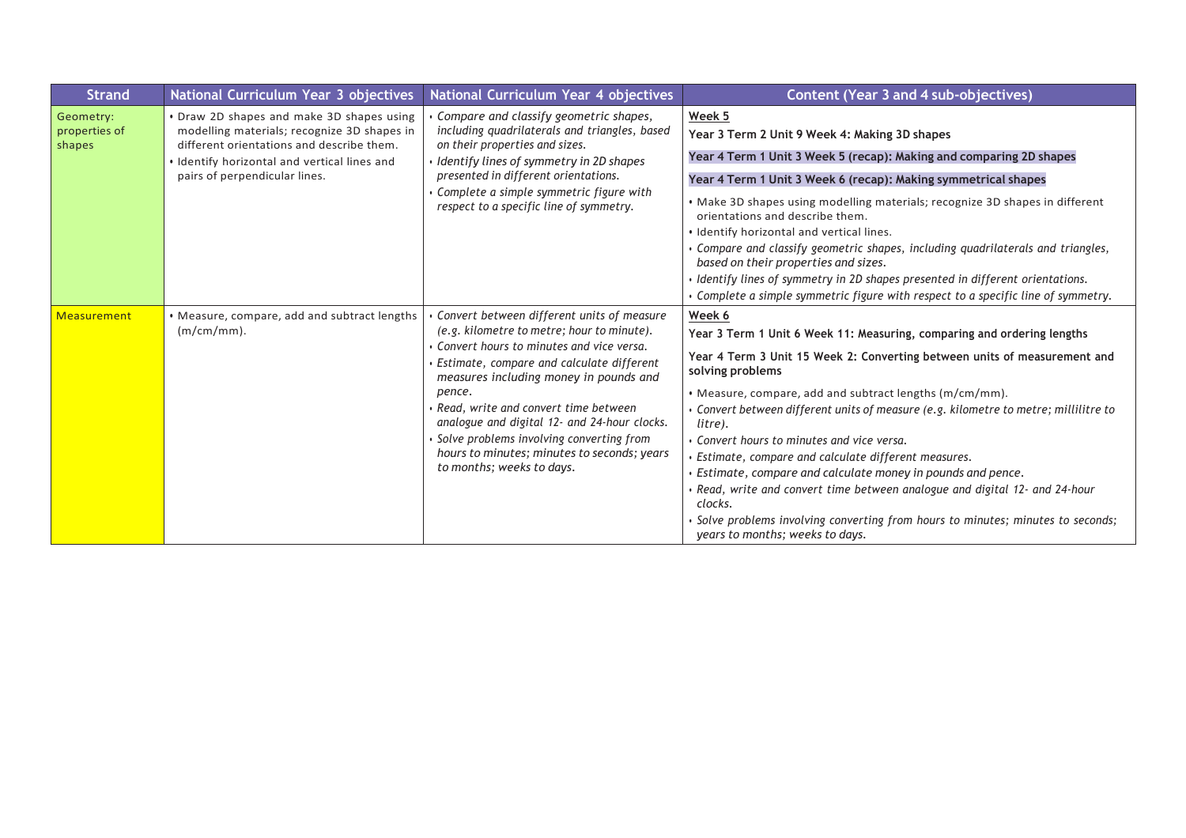| <b>Strand</b>                        | National Curriculum Year 3 objectives                                                                                                                                                                                  | National Curriculum Year 4 objectives                                                                                                                                                                                                                                                                                                                                                                                                                             | <b>Content (Year 3 and 4 sub-objectives)</b>                                                                                                                                                                                                                                                                                                                                                                                                                                                                                                                                                                                                                                                                                   |
|--------------------------------------|------------------------------------------------------------------------------------------------------------------------------------------------------------------------------------------------------------------------|-------------------------------------------------------------------------------------------------------------------------------------------------------------------------------------------------------------------------------------------------------------------------------------------------------------------------------------------------------------------------------------------------------------------------------------------------------------------|--------------------------------------------------------------------------------------------------------------------------------------------------------------------------------------------------------------------------------------------------------------------------------------------------------------------------------------------------------------------------------------------------------------------------------------------------------------------------------------------------------------------------------------------------------------------------------------------------------------------------------------------------------------------------------------------------------------------------------|
| Geometry:<br>properties of<br>shapes | • Draw 2D shapes and make 3D shapes using<br>modelling materials; recognize 3D shapes in<br>different orientations and describe them.<br>. Identify horizontal and vertical lines and<br>pairs of perpendicular lines. | Compare and classify geometric shapes,<br>including quadrilaterals and triangles, based<br>on their properties and sizes.<br>I dentify lines of symmetry in 2D shapes<br>presented in different orientations.<br>Complete a simple symmetric figure with<br>respect to a specific line of symmetry.                                                                                                                                                               | Week 5<br>Year 3 Term 2 Unit 9 Week 4: Making 3D shapes<br>Year 4 Term 1 Unit 3 Week 5 (recap): Making and comparing 2D shapes<br>Year 4 Term 1 Unit 3 Week 6 (recap): Making symmetrical shapes<br>. Make 3D shapes using modelling materials; recognize 3D shapes in different<br>orientations and describe them.<br>· Identify horizontal and vertical lines.<br>Compare and classify geometric shapes, including quadrilaterals and triangles,<br>based on their properties and sizes.<br>Identify lines of symmetry in 2D shapes presented in different orientations.<br>Complete a simple symmetric figure with respect to a specific line of symmetry.                                                                  |
| <b>Measurement</b>                   | • Measure, compare, add and subtract lengths<br>$(m/cm/mm)$ .                                                                                                                                                          | Convert between different units of measure<br>(e.g. kilometre to metre; hour to minute).<br>Convert hours to minutes and vice versa.<br>$\cdot$ Estimate, compare and calculate different<br>measures including money in pounds and<br>pence.<br>• Read, write and convert time between<br>analogue and digital 12- and 24-hour clocks.<br>· Solve problems involving converting from<br>hours to minutes; minutes to seconds; years<br>to months; weeks to days. | Week 6<br>Year 3 Term 1 Unit 6 Week 11: Measuring, comparing and ordering lengths<br>Year 4 Term 3 Unit 15 Week 2: Converting between units of measurement and<br>solving problems<br>. Measure, compare, add and subtract lengths (m/cm/mm).<br>Gonvert between different units of measure (e.g. kilometre to metre; millilitre to<br>litre).<br>• Convert hours to minutes and vice versa.<br>Estimate, compare and calculate different measures.<br>Estimate, compare and calculate money in pounds and pence.<br>Read, write and convert time between analogue and digital 12- and 24-hour<br>clocks.<br>Solve problems involving converting from hours to minutes; minutes to seconds;<br>years to months; weeks to days. |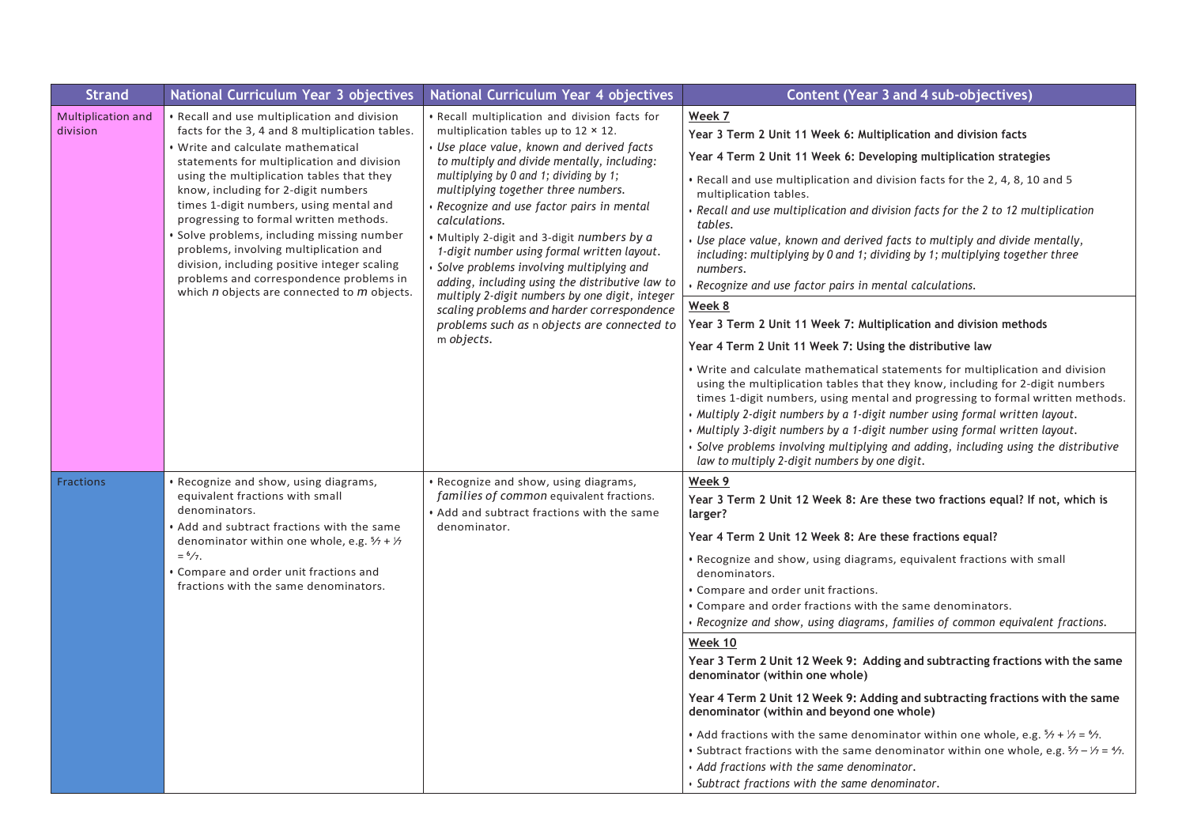| <b>Strand</b>                         | National Curriculum Year 3 objectives                                                                                                                                                                                                                                                                                                                                                                                                                                                                                                                                                             | National Curriculum Year 4 objectives                                                                                                                                                                                                                                                                                                                                                                                                                                                                                                                                                                                                                                                             | <b>Content (Year 3 and 4 sub-objectives)</b>                                                                                                                                                                                                                                                                                                                                                                                                                                                                                                                                                                                                                                                                                                                                                                                                                                                                                                                                                                                                   |
|---------------------------------------|---------------------------------------------------------------------------------------------------------------------------------------------------------------------------------------------------------------------------------------------------------------------------------------------------------------------------------------------------------------------------------------------------------------------------------------------------------------------------------------------------------------------------------------------------------------------------------------------------|---------------------------------------------------------------------------------------------------------------------------------------------------------------------------------------------------------------------------------------------------------------------------------------------------------------------------------------------------------------------------------------------------------------------------------------------------------------------------------------------------------------------------------------------------------------------------------------------------------------------------------------------------------------------------------------------------|------------------------------------------------------------------------------------------------------------------------------------------------------------------------------------------------------------------------------------------------------------------------------------------------------------------------------------------------------------------------------------------------------------------------------------------------------------------------------------------------------------------------------------------------------------------------------------------------------------------------------------------------------------------------------------------------------------------------------------------------------------------------------------------------------------------------------------------------------------------------------------------------------------------------------------------------------------------------------------------------------------------------------------------------|
| <b>Multiplication and</b><br>division | · Recall and use multiplication and division<br>facts for the 3, 4 and 8 multiplication tables.<br><b>Write and calculate mathematical</b><br>statements for multiplication and division<br>using the multiplication tables that they<br>know, including for 2-digit numbers<br>times 1-digit numbers, using mental and<br>progressing to formal written methods.<br>Solve problems, including missing number<br>problems, involving multiplication and<br>division, including positive integer scaling<br>problems and correspondence problems in<br>which n objects are connected to m objects. | · Recall multiplication and division facts for<br>multiplication tables up to $12 \times 12$ .<br>Use place value, known and derived facts<br>to multiply and divide mentally, including:<br>multiplying by 0 and 1; dividing by 1;<br>multiplying together three numbers.<br>Recognize and use factor pairs in mental<br>calculations.<br>Multiply 2-digit and 3-digit numbers by a<br>1-digit number using formal written layout.<br>Solve problems involving multiplying and<br>adding, including using the distributive law to                                                                                                                                                                | Week 7<br>Year 3 Term 2 Unit 11 Week 6: Multiplication and division facts<br>Year 4 Term 2 Unit 11 Week 6: Developing multiplication strategies<br>. Recall and use multiplication and division facts for the 2, 4, 8, 10 and 5<br>multiplication tables.<br>• Recall and use multiplication and division facts for the 2 to 12 multiplication<br>tables.<br>Use place value, known and derived facts to multiply and divide mentally,<br>including: multiplying by 0 and 1; dividing by 1; multiplying together three<br>numbers.<br>· Recognize and use factor pairs in mental calculations.                                                                                                                                                                                                                                                                                                                                                                                                                                                 |
|                                       | multiply 2-digit numbers by one digit, integer<br>scaling problems and harder correspondence<br>problems such as n objects are connected to<br>m objects.                                                                                                                                                                                                                                                                                                                                                                                                                                         | Week 8<br>Year 3 Term 2 Unit 11 Week 7: Multiplication and division methods<br>Year 4 Term 2 Unit 11 Week 7: Using the distributive law<br>. Write and calculate mathematical statements for multiplication and division<br>using the multiplication tables that they know, including for 2-digit numbers<br>times 1-digit numbers, using mental and progressing to formal written methods.<br>. Multiply 2-digit numbers by a 1-digit number using formal written layout.<br>. Multiply 3-digit numbers by a 1-digit number using formal written layout.<br>· Solve problems involving multiplying and adding, including using the distributive<br>law to multiply 2-digit numbers by one digit. |                                                                                                                                                                                                                                                                                                                                                                                                                                                                                                                                                                                                                                                                                                                                                                                                                                                                                                                                                                                                                                                |
| <b>Fractions</b>                      | Recognize and show, using diagrams,<br>equivalent fractions with small<br>denominators.<br>Add and subtract fractions with the same<br>denominator within one whole, e.g. $\frac{5}{7}$ + $\frac{1}{7}$<br>$=$ $\frac{6}{7}$ .<br>Compare and order unit fractions and<br>fractions with the same denominators.                                                                                                                                                                                                                                                                                   | · Recognize and show, using diagrams,<br>families of common equivalent fractions.<br>Add and subtract fractions with the same<br>denominator.                                                                                                                                                                                                                                                                                                                                                                                                                                                                                                                                                     | Week 9<br>Year 3 Term 2 Unit 12 Week 8: Are these two fractions equal? If not, which is<br>larger?<br>Year 4 Term 2 Unit 12 Week 8: Are these fractions equal?<br>• Recognize and show, using diagrams, equivalent fractions with small<br>denominators.<br>• Compare and order unit fractions.<br>• Compare and order fractions with the same denominators.<br>· Recognize and show, using diagrams, families of common equivalent fractions.<br>Week 10<br>Year 3 Term 2 Unit 12 Week 9: Adding and subtracting fractions with the same<br>denominator (within one whole)<br>Year 4 Term 2 Unit 12 Week 9: Adding and subtracting fractions with the same<br>denominator (within and beyond one whole)<br>• Add fractions with the same denominator within one whole, e.g. $\frac{5}{7} + \frac{1}{7} = \frac{6}{7}$ .<br>• Subtract fractions with the same denominator within one whole, e.g. $\frac{5}{7} - \frac{1}{7} = \frac{4}{7}$ .<br>• Add fractions with the same denominator.<br>· Subtract fractions with the same denominator. |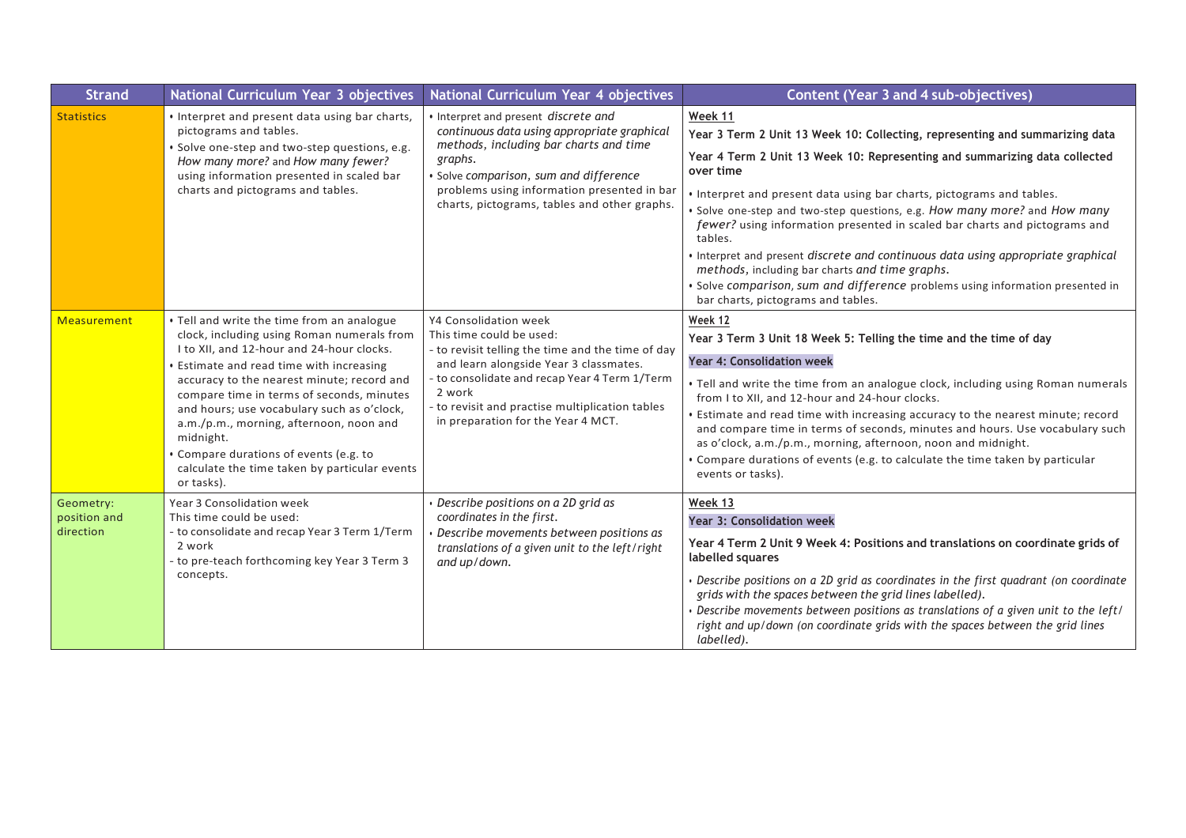| <b>Strand</b>                          | National Curriculum Year 3 objectives                                                                                                                                                                                                                                                                                                                                                                                                                                                          | National Curriculum Year 4 objectives                                                                                                                                                                                                                                                            | <b>Content (Year 3 and 4 sub-objectives)</b>                                                                                                                                                                                                                                                                                                                                                                                                                                                                                                                                                                                                                                                    |
|----------------------------------------|------------------------------------------------------------------------------------------------------------------------------------------------------------------------------------------------------------------------------------------------------------------------------------------------------------------------------------------------------------------------------------------------------------------------------------------------------------------------------------------------|--------------------------------------------------------------------------------------------------------------------------------------------------------------------------------------------------------------------------------------------------------------------------------------------------|-------------------------------------------------------------------------------------------------------------------------------------------------------------------------------------------------------------------------------------------------------------------------------------------------------------------------------------------------------------------------------------------------------------------------------------------------------------------------------------------------------------------------------------------------------------------------------------------------------------------------------------------------------------------------------------------------|
| <b>Statistics</b>                      | • Interpret and present data using bar charts,<br>pictograms and tables.<br>· Solve one-step and two-step questions, e.g.<br>How many more? and How many fewer?<br>using information presented in scaled bar<br>charts and pictograms and tables.                                                                                                                                                                                                                                              | • Interpret and present discrete and<br>continuous data using appropriate graphical<br>methods, including bar charts and time<br>graphs.<br>Solve comparison, sum and difference<br>problems using information presented in bar<br>charts, pictograms, tables and other graphs.                  | Week 11<br>Year 3 Term 2 Unit 13 Week 10: Collecting, representing and summarizing data<br>Year 4 Term 2 Unit 13 Week 10: Representing and summarizing data collected<br>over time<br>. Interpret and present data using bar charts, pictograms and tables.<br>. Solve one-step and two-step questions, e.g. How many more? and How many<br>fewer? using information presented in scaled bar charts and pictograms and<br>tables.<br>· Interpret and present discrete and continuous data using appropriate graphical<br>methods, including bar charts and time graphs.<br>· Solve comparison, sum and difference problems using information presented in<br>bar charts, pictograms and tables. |
| Measurement                            | • Tell and write the time from an analogue<br>clock, including using Roman numerals from<br>I to XII, and 12-hour and 24-hour clocks.<br><b>Estimate and read time with increasing</b><br>accuracy to the nearest minute; record and<br>compare time in terms of seconds, minutes<br>and hours; use vocabulary such as o'clock,<br>a.m./p.m., morning, afternoon, noon and<br>midnight.<br>Compare durations of events (e.g. to<br>calculate the time taken by particular events<br>or tasks). | Y4 Consolidation week<br>This time could be used:<br>- to revisit telling the time and the time of day<br>and learn alongside Year 3 classmates.<br>to consolidate and recap Year 4 Term 1/Term<br>2 work<br>to revisit and practise multiplication tables<br>in preparation for the Year 4 MCT. | Week 12<br>Year 3 Term 3 Unit 18 Week 5: Telling the time and the time of day<br><b>Year 4: Consolidation week</b><br>• Tell and write the time from an analogue clock, including using Roman numerals<br>from I to XII, and 12-hour and 24-hour clocks.<br>• Estimate and read time with increasing accuracy to the nearest minute; record<br>and compare time in terms of seconds, minutes and hours. Use vocabulary such<br>as o'clock, a.m./p.m., morning, afternoon, noon and midnight.<br>• Compare durations of events (e.g. to calculate the time taken by particular<br>events or tasks).                                                                                              |
| Geometry:<br>position and<br>direction | Year 3 Consolidation week<br>This time could be used:<br>- to consolidate and recap Year 3 Term 1/Term<br>2 work<br>- to pre-teach forthcoming key Year 3 Term 3<br>concepts.                                                                                                                                                                                                                                                                                                                  | Describe positions on a 2D grid as<br>coordinates in the first.<br>Describe movements between positions as<br>translations of a given unit to the left/right<br>and up/down.                                                                                                                     | Week 13<br>Year 3: Consolidation week<br>Year 4 Term 2 Unit 9 Week 4: Positions and translations on coordinate grids of<br>labelled squares<br>Describe positions on a 2D grid as coordinates in the first quadrant (on coordinate<br>grids with the spaces between the grid lines labelled).<br>Describe movements between positions as translations of a given unit to the left/<br>right and up/down (on coordinate grids with the spaces between the grid lines<br>labelled).                                                                                                                                                                                                               |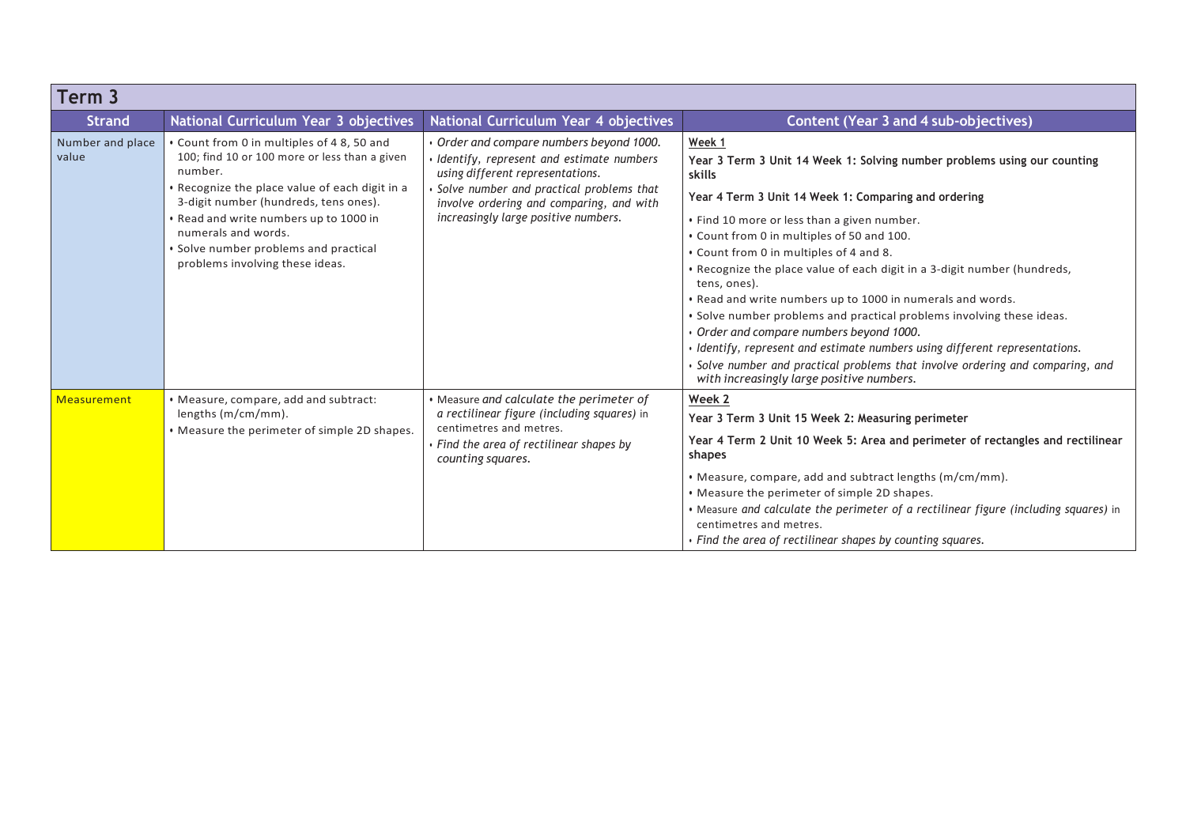| Term 3                    |                                                                                                                                                                                                                                                                                                                                               |                                                                                                                                                                                                                                                        |                                                                                                                                                                                                                                                                                                                                                                                                                                                                                                                                                                                                                                                                                                                                                                                       |
|---------------------------|-----------------------------------------------------------------------------------------------------------------------------------------------------------------------------------------------------------------------------------------------------------------------------------------------------------------------------------------------|--------------------------------------------------------------------------------------------------------------------------------------------------------------------------------------------------------------------------------------------------------|---------------------------------------------------------------------------------------------------------------------------------------------------------------------------------------------------------------------------------------------------------------------------------------------------------------------------------------------------------------------------------------------------------------------------------------------------------------------------------------------------------------------------------------------------------------------------------------------------------------------------------------------------------------------------------------------------------------------------------------------------------------------------------------|
| <b>Strand</b>             | National Curriculum Year 3 objectives                                                                                                                                                                                                                                                                                                         | National Curriculum Year 4 objectives                                                                                                                                                                                                                  | <b>Content (Year 3 and 4 sub-objectives)</b>                                                                                                                                                                                                                                                                                                                                                                                                                                                                                                                                                                                                                                                                                                                                          |
| Number and place<br>value | • Count from 0 in multiples of 48, 50 and<br>100; find 10 or 100 more or less than a given<br>number.<br>. Recognize the place value of each digit in a<br>3-digit number (hundreds, tens ones).<br>. Read and write numbers up to 1000 in<br>numerals and words.<br>• Solve number problems and practical<br>problems involving these ideas. | Order and compare numbers beyond 1000.<br>Identify, represent and estimate numbers<br>using different representations.<br>Solve number and practical problems that<br>involve ordering and comparing, and with<br>increasingly large positive numbers. | Week 1<br>Year 3 Term 3 Unit 14 Week 1: Solving number problems using our counting<br>skills<br>Year 4 Term 3 Unit 14 Week 1: Comparing and ordering<br>• Find 10 more or less than a given number.<br>. Count from 0 in multiples of 50 and 100.<br>. Count from 0 in multiples of 4 and 8.<br>. Recognize the place value of each digit in a 3-digit number (hundreds,<br>tens, ones).<br>. Read and write numbers up to 1000 in numerals and words.<br>. Solve number problems and practical problems involving these ideas.<br>Order and compare numbers beyond 1000.<br>· Identify, represent and estimate numbers using different representations.<br>Solve number and practical problems that involve ordering and comparing, and<br>with increasingly large positive numbers. |
| Measurement               | • Measure, compare, add and subtract:<br>lengths (m/cm/mm).<br>. Measure the perimeter of simple 2D shapes.                                                                                                                                                                                                                                   | • Measure and calculate the perimeter of<br>a rectilinear figure (including squares) in<br>centimetres and metres.<br>Find the area of rectilinear shapes by<br>counting squares.                                                                      | Week 2<br>Year 3 Term 3 Unit 15 Week 2: Measuring perimeter<br>Year 4 Term 2 Unit 10 Week 5: Area and perimeter of rectangles and rectilinear<br>shapes<br>• Measure, compare, add and subtract lengths (m/cm/mm).<br>• Measure the perimeter of simple 2D shapes.<br>• Measure and calculate the perimeter of a rectilinear figure (including squares) in<br>centimetres and metres.<br>• Find the area of rectilinear shapes by counting squares.                                                                                                                                                                                                                                                                                                                                   |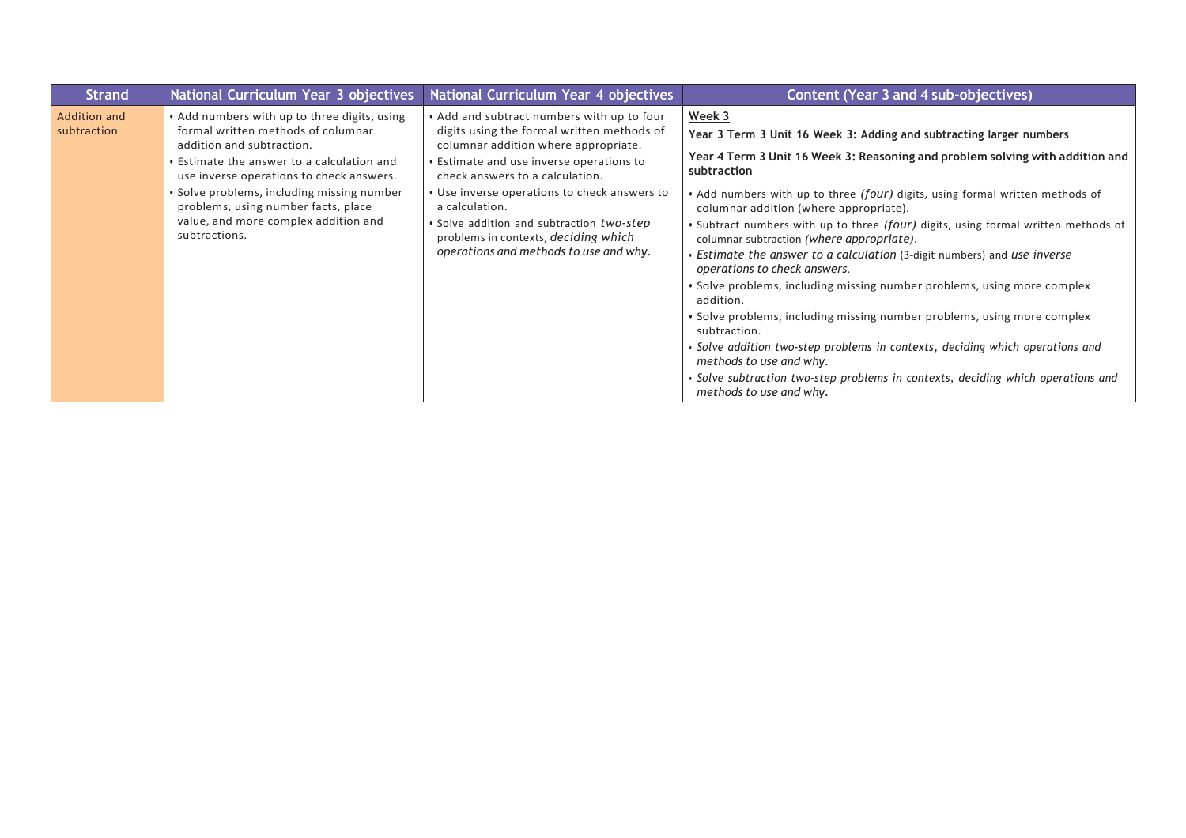| <b>Strand</b>                      | National Curriculum Year 3 objectives                                                                                                                                                                                                                                                                                                                   | National Curriculum Year 4 objectives                                                                                                                                                                                                                                                                                                                                                                            | <b>Content (Year 3 and 4 sub-objectives)</b>                                                                                                                                                                                                                                                                                                                                                                                                                                                                                                                                                                                                                                                                                                                                                                                                                                                                                                                          |
|------------------------------------|---------------------------------------------------------------------------------------------------------------------------------------------------------------------------------------------------------------------------------------------------------------------------------------------------------------------------------------------------------|------------------------------------------------------------------------------------------------------------------------------------------------------------------------------------------------------------------------------------------------------------------------------------------------------------------------------------------------------------------------------------------------------------------|-----------------------------------------------------------------------------------------------------------------------------------------------------------------------------------------------------------------------------------------------------------------------------------------------------------------------------------------------------------------------------------------------------------------------------------------------------------------------------------------------------------------------------------------------------------------------------------------------------------------------------------------------------------------------------------------------------------------------------------------------------------------------------------------------------------------------------------------------------------------------------------------------------------------------------------------------------------------------|
| <b>Addition and</b><br>subtraction | • Add numbers with up to three digits, using<br>formal written methods of columnar<br>addition and subtraction.<br>• Estimate the answer to a calculation and<br>use inverse operations to check answers.<br>· Solve problems, including missing number<br>problems, using number facts, place<br>value, and more complex addition and<br>subtractions. | . Add and subtract numbers with up to four<br>digits using the formal written methods of<br>columnar addition where appropriate.<br>• Estimate and use inverse operations to<br>check answers to a calculation.<br>• Use inverse operations to check answers to<br>a calculation.<br>• Solve addition and subtraction two-step<br>problems in contexts, deciding which<br>operations and methods to use and why. | Week 3<br>Year 3 Term 3 Unit 16 Week 3: Adding and subtracting larger numbers<br>Year 4 Term 3 Unit 16 Week 3: Reasoning and problem solving with addition and<br>subtraction<br>. Add numbers with up to three (four) digits, using formal written methods of<br>columnar addition (where appropriate).<br>. Subtract numbers with up to three (four) digits, using formal written methods of<br>columnar subtraction (where appropriate).<br>• Estimate the answer to a calculation (3-digit numbers) and use inverse<br>operations to check answers.<br>• Solve problems, including missing number problems, using more complex<br>addition.<br>• Solve problems, including missing number problems, using more complex<br>subtraction.<br>· Solve addition two-step problems in contexts, deciding which operations and<br>methods to use and why.<br>· Solve subtraction two-step problems in contexts, deciding which operations and<br>methods to use and why. |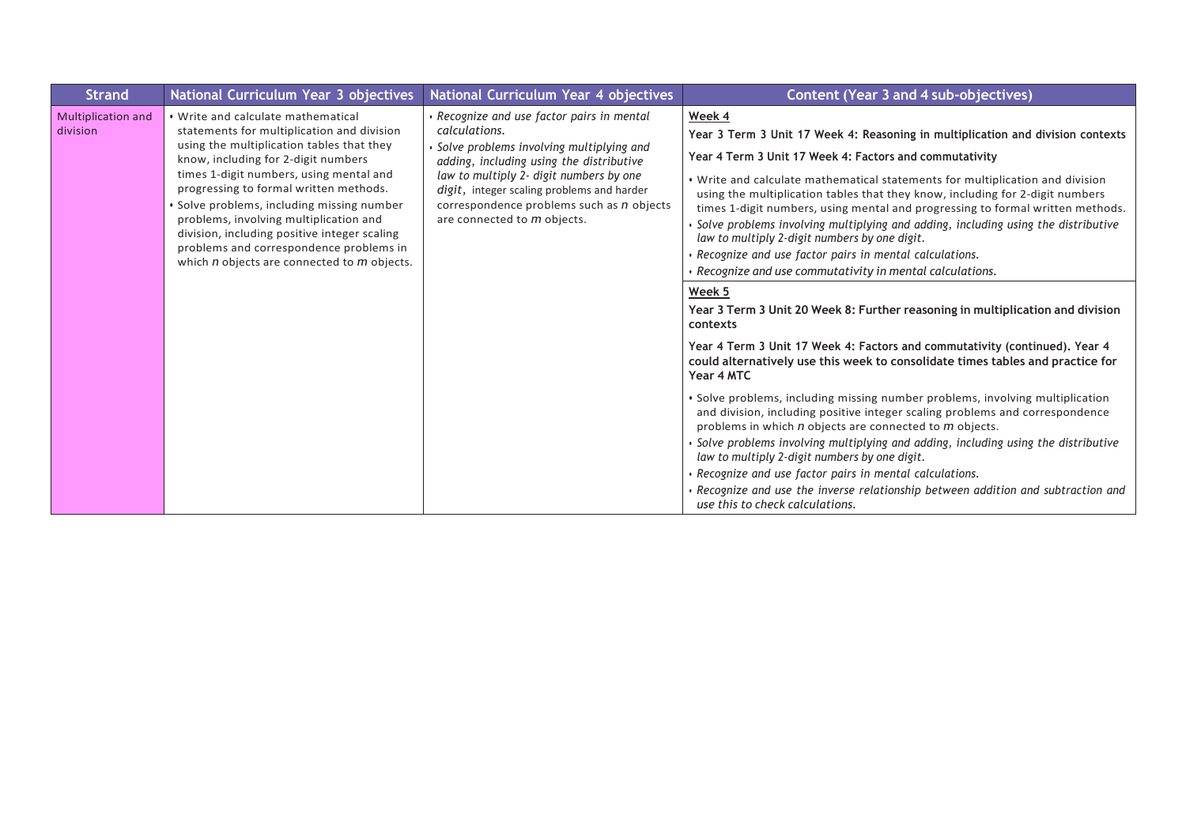| <b>Strand</b>                         | National Curriculum Year 3 objectives                                                                                                                                                                                                                                                                                                                                                                                                                                                         | National Curriculum Year 4 objectives                                                                                                                                                                                                                                                                                    | Content (Year 3 and 4 sub-objectives)                                                                                                                                                                                                                                                                                                                                                                                                                                                                                                                                                                                                                                                                                                                                                                                                                                                                                                                                                                                                                                                                                                                                                                                                                                                                                                                                                                                                                                                                                  |
|---------------------------------------|-----------------------------------------------------------------------------------------------------------------------------------------------------------------------------------------------------------------------------------------------------------------------------------------------------------------------------------------------------------------------------------------------------------------------------------------------------------------------------------------------|--------------------------------------------------------------------------------------------------------------------------------------------------------------------------------------------------------------------------------------------------------------------------------------------------------------------------|------------------------------------------------------------------------------------------------------------------------------------------------------------------------------------------------------------------------------------------------------------------------------------------------------------------------------------------------------------------------------------------------------------------------------------------------------------------------------------------------------------------------------------------------------------------------------------------------------------------------------------------------------------------------------------------------------------------------------------------------------------------------------------------------------------------------------------------------------------------------------------------------------------------------------------------------------------------------------------------------------------------------------------------------------------------------------------------------------------------------------------------------------------------------------------------------------------------------------------------------------------------------------------------------------------------------------------------------------------------------------------------------------------------------------------------------------------------------------------------------------------------------|
| <b>Multiplication and</b><br>division | . Write and calculate mathematical<br>statements for multiplication and division<br>using the multiplication tables that they<br>know, including for 2-digit numbers<br>times 1-digit numbers, using mental and<br>progressing to formal written methods.<br>Solve problems, including missing number<br>problems, involving multiplication and<br>division, including positive integer scaling<br>problems and correspondence problems in<br>which $n$ objects are connected to $m$ objects. | • Recognize and use factor pairs in mental<br>calculations.<br>Solve problems involving multiplying and<br>adding, including using the distributive<br>law to multiply 2- digit numbers by one<br>digit, integer scaling problems and harder<br>correspondence problems such as n objects<br>are connected to m objects. | Week 4<br>Year 3 Term 3 Unit 17 Week 4: Reasoning in multiplication and division contexts<br>Year 4 Term 3 Unit 17 Week 4: Factors and commutativity<br>. Write and calculate mathematical statements for multiplication and division<br>using the multiplication tables that they know, including for 2-digit numbers<br>times 1-digit numbers, using mental and progressing to formal written methods.<br>Solve problems involving multiplying and adding, including using the distributive<br>law to multiply 2-digit numbers by one digit.<br>Recognize and use factor pairs in mental calculations.<br>· Recognize and use commutativity in mental calculations.<br>Week 5<br>Year 3 Term 3 Unit 20 Week 8: Further reasoning in multiplication and division<br>contexts<br>Year 4 Term 3 Unit 17 Week 4: Factors and commutativity (continued). Year 4<br>could alternatively use this week to consolidate times tables and practice for<br>Year 4 MTC<br>· Solve problems, including missing number problems, involving multiplication<br>and division, including positive integer scaling problems and correspondence<br>problems in which n objects are connected to m objects.<br>Solve problems involving multiplying and adding, including using the distributive<br>law to multiply 2-digit numbers by one digit.<br>Recognize and use factor pairs in mental calculations.<br>$\cdot$ Recognize and use the inverse relationship between addition and subtraction and<br>use this to check calculations. |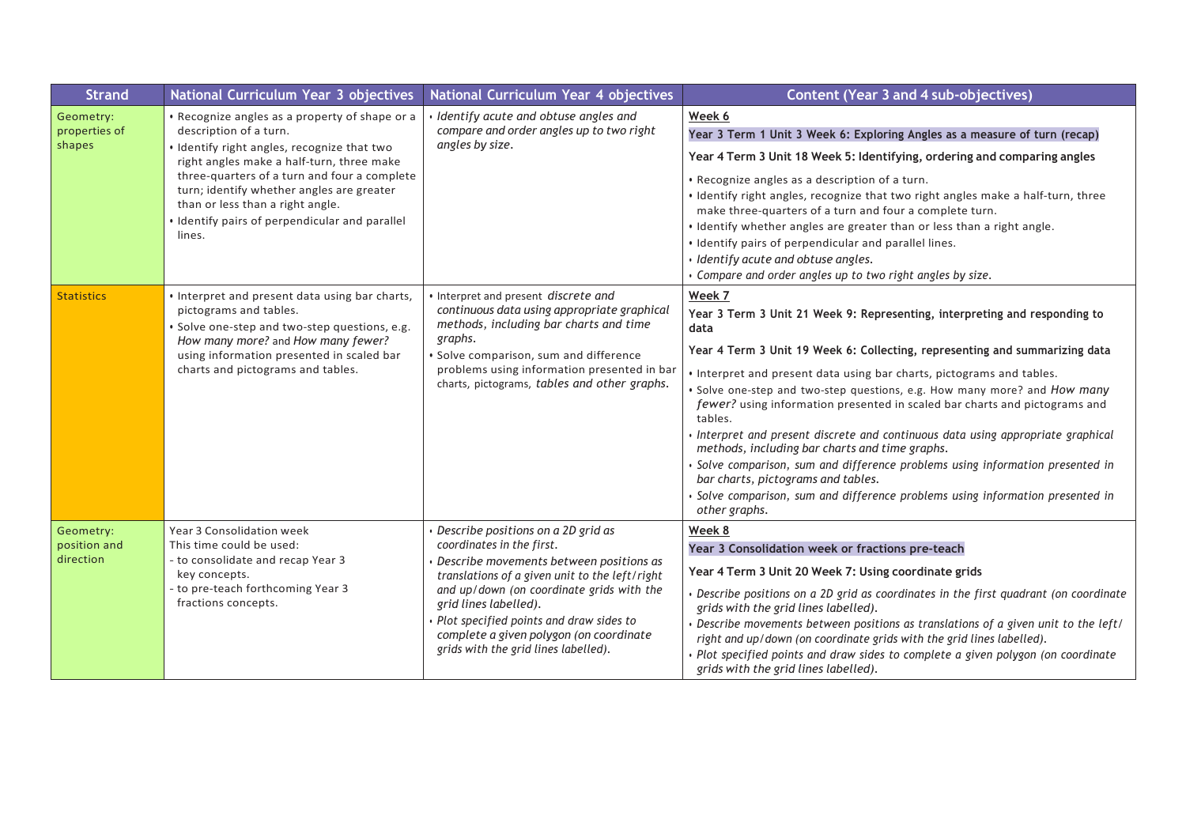| <b>Strand</b>                          | National Curriculum Year 3 objectives                                                                                                                                                                                                                                                                                                                             | National Curriculum Year 4 objectives                                                                                                                                                                                                                                                                                                                            | <b>Content (Year 3 and 4 sub-objectives)</b>                                                                                                                                                                                                                                                                                                                                                                                                                                                                                                                                                                                                                                                                                                                                          |
|----------------------------------------|-------------------------------------------------------------------------------------------------------------------------------------------------------------------------------------------------------------------------------------------------------------------------------------------------------------------------------------------------------------------|------------------------------------------------------------------------------------------------------------------------------------------------------------------------------------------------------------------------------------------------------------------------------------------------------------------------------------------------------------------|---------------------------------------------------------------------------------------------------------------------------------------------------------------------------------------------------------------------------------------------------------------------------------------------------------------------------------------------------------------------------------------------------------------------------------------------------------------------------------------------------------------------------------------------------------------------------------------------------------------------------------------------------------------------------------------------------------------------------------------------------------------------------------------|
| Geometry:<br>properties of<br>shapes   | • Recognize angles as a property of shape or a<br>description of a turn.<br>· Identify right angles, recognize that two<br>right angles make a half-turn, three make<br>three-quarters of a turn and four a complete<br>turn; identify whether angles are greater<br>than or less than a right angle.<br>· Identify pairs of perpendicular and parallel<br>lines. | Identify acute and obtuse angles and<br>compare and order angles up to two right<br>angles by size.                                                                                                                                                                                                                                                              | Week 6<br>Year 3 Term 1 Unit 3 Week 6: Exploring Angles as a measure of turn (recap)<br>Year 4 Term 3 Unit 18 Week 5: Identifying, ordering and comparing angles<br>• Recognize angles as a description of a turn.<br>. Identify right angles, recognize that two right angles make a half-turn, three<br>make three-quarters of a turn and four a complete turn.<br>• Identify whether angles are greater than or less than a right angle.<br>. Identify pairs of perpendicular and parallel lines.<br>· Identify acute and obtuse angles.<br>• Compare and order angles up to two right angles by size.                                                                                                                                                                             |
| <b>Statistics</b>                      | • Interpret and present data using bar charts,<br>pictograms and tables.<br>· Solve one-step and two-step questions, e.g.<br>How many more? and How many fewer?<br>using information presented in scaled bar<br>charts and pictograms and tables.                                                                                                                 | Interpret and present discrete and<br>continuous data using appropriate graphical<br>methods, including bar charts and time<br>graphs.<br>Solve comparison, sum and difference<br>problems using information presented in bar<br>charts, pictograms, tables and other graphs.                                                                                    | Week 7<br>Year 3 Term 3 Unit 21 Week 9: Representing, interpreting and responding to<br>data<br>Year 4 Term 3 Unit 19 Week 6: Collecting, representing and summarizing data<br>. Interpret and present data using bar charts, pictograms and tables.<br>. Solve one-step and two-step questions, e.g. How many more? and How many<br>fewer? using information presented in scaled bar charts and pictograms and<br>tables.<br>Interpret and present discrete and continuous data using appropriate graphical<br>methods, including bar charts and time graphs.<br>Solve comparison, sum and difference problems using information presented in<br>bar charts, pictograms and tables.<br>Solve comparison, sum and difference problems using information presented in<br>other graphs. |
| Geometry:<br>position and<br>direction | Year 3 Consolidation week<br>This time could be used:<br>- to consolidate and recap Year 3<br>key concepts.<br>- to pre-teach forthcoming Year 3<br>fractions concepts.                                                                                                                                                                                           | Describe positions on a 2D grid as<br>coordinates in the first.<br>Describe movements between positions as<br>translations of a given unit to the left/right<br>and up/down (on coordinate grids with the<br>grid lines labelled).<br>Plot specified points and draw sides to<br>complete a given polygon (on coordinate<br>grids with the grid lines labelled). | Week 8<br>Year 3 Consolidation week or fractions pre-teach<br>Year 4 Term 3 Unit 20 Week 7: Using coordinate grids<br>Describe positions on a 2D grid as coordinates in the first quadrant (on coordinate<br>grids with the grid lines labelled).<br>Describe movements between positions as translations of a given unit to the left/<br>right and up/down (on coordinate grids with the grid lines labelled).<br>Plot specified points and draw sides to complete a given polygon (on coordinate<br>grids with the grid lines labelled).                                                                                                                                                                                                                                            |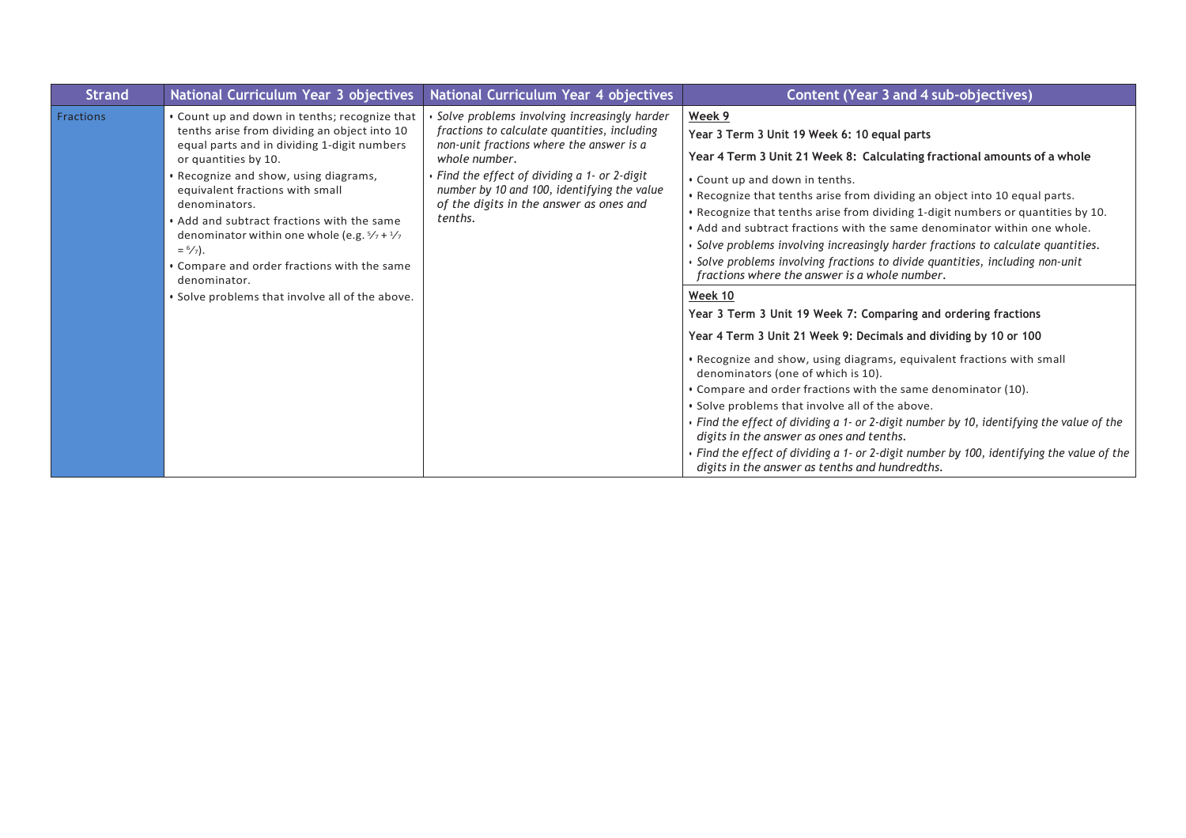| <b>Strand</b> | National Curriculum Year 3 objectives                                                                                                                                                                                                                                                                                                                                                                                                                                                                                      | National Curriculum Year 4 objectives                                                                                                                                                                                                                                                                           | Content (Year 3 and 4 sub-objectives)                                                                                                                                                                                                                                                                                                                                                                                                                                                                                                                                                                                                                                                                                                                                                                                                                            |
|---------------|----------------------------------------------------------------------------------------------------------------------------------------------------------------------------------------------------------------------------------------------------------------------------------------------------------------------------------------------------------------------------------------------------------------------------------------------------------------------------------------------------------------------------|-----------------------------------------------------------------------------------------------------------------------------------------------------------------------------------------------------------------------------------------------------------------------------------------------------------------|------------------------------------------------------------------------------------------------------------------------------------------------------------------------------------------------------------------------------------------------------------------------------------------------------------------------------------------------------------------------------------------------------------------------------------------------------------------------------------------------------------------------------------------------------------------------------------------------------------------------------------------------------------------------------------------------------------------------------------------------------------------------------------------------------------------------------------------------------------------|
| Fractions     | • Count up and down in tenths; recognize that<br>tenths arise from dividing an object into 10<br>equal parts and in dividing 1-digit numbers<br>or quantities by 10.<br>· Recognize and show, using diagrams,<br>equivalent fractions with small<br>denominators.<br>• Add and subtract fractions with the same<br>denominator within one whole (e.g. $\frac{5}{7} + \frac{1}{2}$<br>$=$ $\frac{6}{7}$ .<br>• Compare and order fractions with the same<br>denominator.<br>• Solve problems that involve all of the above. | Solve problems involving increasingly harder<br>fractions to calculate quantities, including<br>non-unit fractions where the answer is a<br>whole number.<br>• Find the effect of dividing a 1- or 2-digit<br>number by 10 and 100, identifying the value<br>of the digits in the answer as ones and<br>tenths. | Week 9<br>Year 3 Term 3 Unit 19 Week 6: 10 equal parts<br>Year 4 Term 3 Unit 21 Week 8: Calculating fractional amounts of a whole<br>• Count up and down in tenths.<br>. Recognize that tenths arise from dividing an object into 10 equal parts.<br>. Recognize that tenths arise from dividing 1-digit numbers or quantities by 10.<br>. Add and subtract fractions with the same denominator within one whole.<br>• Solve problems involving increasingly harder fractions to calculate quantities.<br>Solve problems involving fractions to divide quantities, including non-unit<br>fractions where the answer is a whole number.<br>Week 10<br>Year 3 Term 3 Unit 19 Week 7: Comparing and ordering fractions<br>Year 4 Term 3 Unit 21 Week 9: Decimals and dividing by 10 or 100<br>. Recognize and show, using diagrams, equivalent fractions with small |
|               |                                                                                                                                                                                                                                                                                                                                                                                                                                                                                                                            |                                                                                                                                                                                                                                                                                                                 | denominators (one of which is 10).                                                                                                                                                                                                                                                                                                                                                                                                                                                                                                                                                                                                                                                                                                                                                                                                                               |
|               |                                                                                                                                                                                                                                                                                                                                                                                                                                                                                                                            |                                                                                                                                                                                                                                                                                                                 | • Compare and order fractions with the same denominator (10).                                                                                                                                                                                                                                                                                                                                                                                                                                                                                                                                                                                                                                                                                                                                                                                                    |
|               |                                                                                                                                                                                                                                                                                                                                                                                                                                                                                                                            |                                                                                                                                                                                                                                                                                                                 | • Solve problems that involve all of the above.                                                                                                                                                                                                                                                                                                                                                                                                                                                                                                                                                                                                                                                                                                                                                                                                                  |
|               |                                                                                                                                                                                                                                                                                                                                                                                                                                                                                                                            |                                                                                                                                                                                                                                                                                                                 | $\cdot$ Find the effect of dividing a 1- or 2-digit number by 10, identifying the value of the<br>digits in the answer as ones and tenths.                                                                                                                                                                                                                                                                                                                                                                                                                                                                                                                                                                                                                                                                                                                       |
|               |                                                                                                                                                                                                                                                                                                                                                                                                                                                                                                                            |                                                                                                                                                                                                                                                                                                                 | • Find the effect of dividing a 1- or 2-digit number by 100, identifying the value of the<br>digits in the answer as tenths and hundredths.                                                                                                                                                                                                                                                                                                                                                                                                                                                                                                                                                                                                                                                                                                                      |